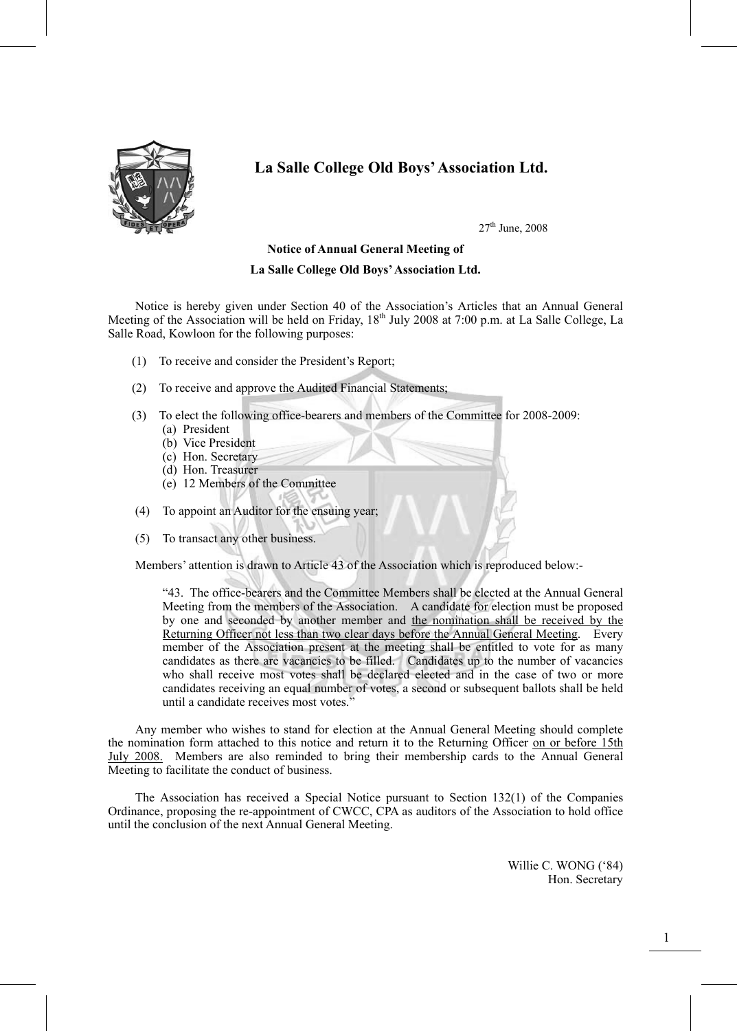

# **La Salle College Old Boys' Association Ltd.**

 $27<sup>th</sup>$  June,  $2008$ 

#### **Notice of Annual General Meeting of**

#### **La Salle College Old Boys' Association Ltd.**

Notice is hereby given under Section 40 of the Association's Articles that an Annual General Meeting of the Association will be held on Friday,  $18<sup>th</sup>$  July 2008 at 7:00 p.m. at La Salle College, La Salle Road, Kowloon for the following purposes:

- (1) To receive and consider the President's Report;
- (2) To receive and approve the Audited Financial Statements;
- (3) To elect the following office-bearers and members of the Committee for 2008-2009:
	- (a) President
	- (b) Vice President
	- (c) Hon. Secretary
	- (d) Hon. Treasurer
	- (e) 12 Members of the Committee
- (4) To appoint an Auditor for the ensuing year;
- (5) To transact any other business.

Members' attention is drawn to Article 43 of the Association which is reproduced below:-

"43. The office-bearers and the Committee Members shall be elected at the Annual General Meeting from the members of the Association. A candidate for election must be proposed by one and seconded by another member and the nomination shall be received by the Returning Officer not less than two clear days before the Annual General Meeting. Every member of the Association present at the meeting shall be entitled to vote for as many candidates as there are vacancies to be filled. Candidates up to the number of vacancies who shall receive most votes shall be declared elected and in the case of two or more candidates receiving an equal number of votes, a second or subsequent ballots shall be held until a candidate receives most votes."

 Any member who wishes to stand for election at the Annual General Meeting should complete the nomination form attached to this notice and return it to the Returning Officer on or before 15th July 2008. Members are also reminded to bring their membership cards to the Annual General Meeting to facilitate the conduct of business.

 The Association has received a Special Notice pursuant to Section 132(1) of the Companies Ordinance, proposing the re-appointment of CWCC, CPA as auditors of the Association to hold office until the conclusion of the next Annual General Meeting.

> Willie C. WONG ('84) Hon. Secretary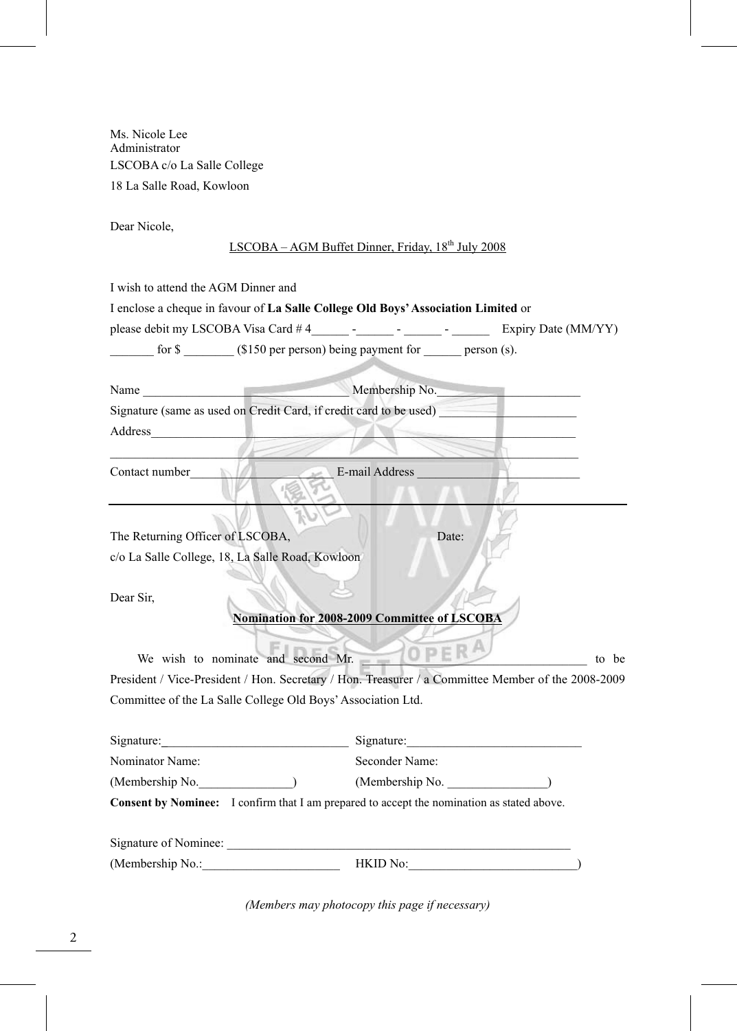Ms. Nicole Lee Administrator LSCOBA c/o La Salle College 18 La Salle Road, Kowloon

Dear Nicole,

# LSCOBA – AGM Buffet Dinner, Friday, 18<sup>th</sup> July 2008

I wish to attend the AGM Dinner and

|                                     | I enclose a cheque in favour of La Salle College Old Boys' Association Limited or |        |                |                     |
|-------------------------------------|-----------------------------------------------------------------------------------|--------|----------------|---------------------|
| please debit my LSCOBA Visa Card #4 |                                                                                   | $\sim$ | <b>Service</b> | Expiry Date (MM/YY) |
| for \$                              | $($150$ per person) being payment for                                             |        |                | $person(s)$ .       |
|                                     |                                                                                   |        |                |                     |

| Name    | Membership No.                                                     |
|---------|--------------------------------------------------------------------|
|         | Signature (same as used on Credit Card, if credit card to be used) |
| Address |                                                                    |

 $\mathcal{L}$  and  $\mathcal{L}$  and  $\mathcal{L}$  and  $\mathcal{L}$  and  $\mathcal{L}$ 

Contact number\_\_\_\_\_\_\_\_\_\_\_\_\_\_\_\_\_\_\_\_\_\_\_ E-mail Address \_\_\_\_\_\_\_\_\_\_\_\_\_\_\_\_\_\_\_\_\_\_\_\_\_\_

The Returning Officer of LSCOBA, Date:

c/o La Salle College, 18, La Salle Road, Kowloon

Dear Sir,

#### **Nomination for 2008-2009 Committee of LSCOBA**

We wish to nominate and second Mr. \_\_\_\_\_\_\_\_\_\_\_\_\_\_\_\_\_\_\_\_\_\_\_\_\_\_\_\_\_\_\_\_\_\_\_\_ to be President / Vice-President / Hon. Secretary / Hon. Treasurer / a Committee Member of the 2008-2009 Committee of the La Salle College Old Boys' Association Ltd.

| Signature:            | Signature:                                                                                        |  |
|-----------------------|---------------------------------------------------------------------------------------------------|--|
| Nominator Name:       | Seconder Name:                                                                                    |  |
| (Membership No.       | (Membership No.                                                                                   |  |
|                       | <b>Consent by Nominee:</b> I confirm that I am prepared to accept the nomination as stated above. |  |
| Signature of Nominee: |                                                                                                   |  |
| (Membership No.:      | HKID No:                                                                                          |  |

*(Members may photocopy this page if necessary)*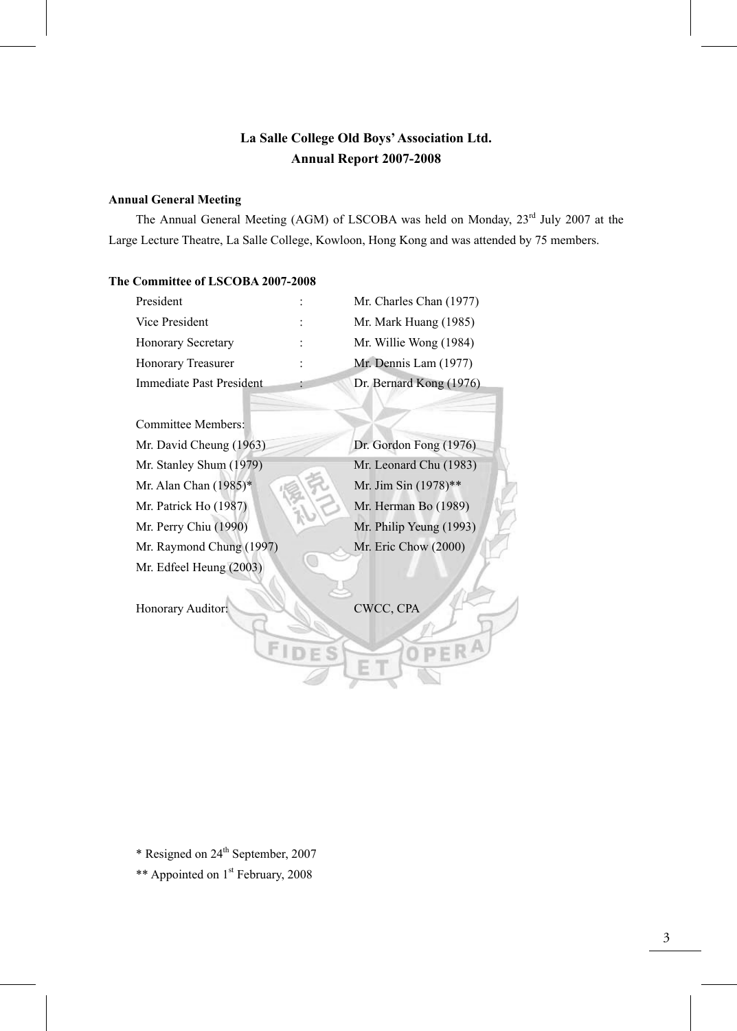# **La Salle College Old Boys' Association Ltd. Annual Report 2007-2008**

## **Annual General Meeting**

The Annual General Meeting (AGM) of LSCOBA was held on Monday, 23<sup>rd</sup> July 2007 at the Large Lecture Theatre, La Salle College, Kowloon, Hong Kong and was attended by 75 members.

# **The Committee of LSCOBA 2007-2008**

| President                 | Mr. Charles Chan (1977) |
|---------------------------|-------------------------|
| Vice President            | Mr. Mark Huang (1985)   |
| <b>Honorary Secretary</b> | Mr. Willie Wong (1984)  |
| Honorary Treasurer        | Mr. Dennis Lam (1977)   |
| Immediate Past President  | Dr. Bernard Kong (1976) |

| Committee Members:       |                         |
|--------------------------|-------------------------|
| Mr. David Cheung (1963)  | Dr. Gordon Fong (1976)  |
| Mr. Stanley Shum (1979)  | Mr. Leonard Chu (1983)  |
| Mr. Alan Chan (1985)*    | Mr. Jim Sin (1978)**    |
| Mr. Patrick Ho (1987)    | Mr. Herman Bo (1989)    |
| Mr. Perry Chiu (1990)    | Mr. Philip Yeung (1993) |
| Mr. Raymond Chung (1997) | Mr. Eric Chow (2000)    |
| Mr. Edfeel Heung (2003)  |                         |

Honorary Auditor: CWCC, CPA

\* Resigned on 24th September, 2007

\*\* Appointed on 1<sup>st</sup> February, 2008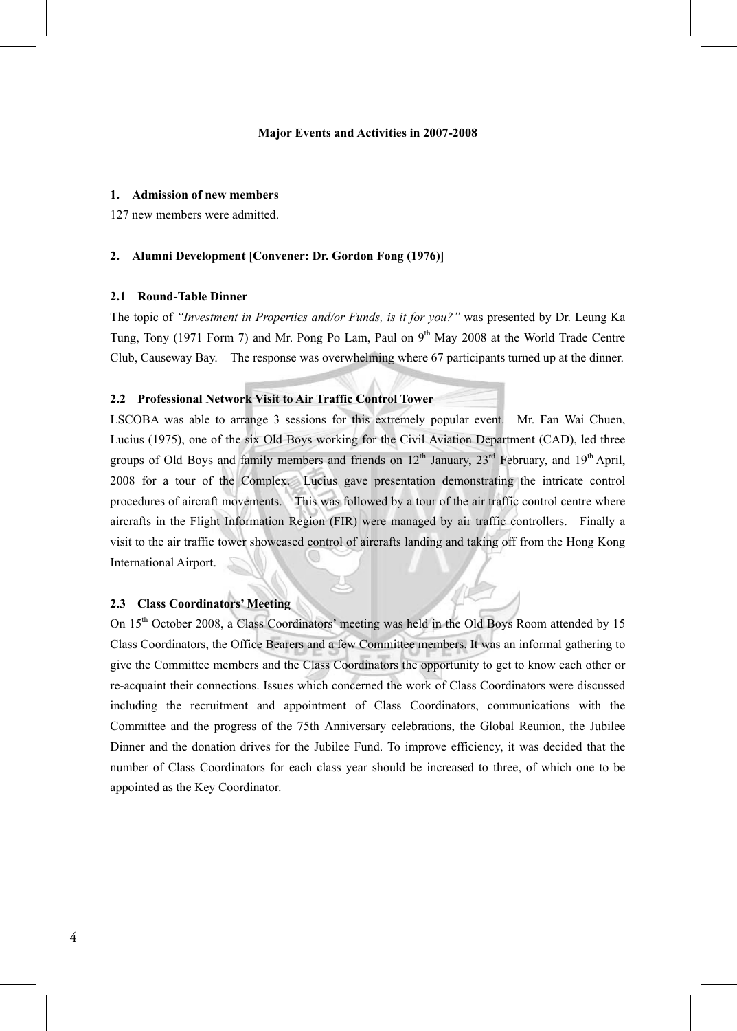#### **Major Events and Activities in 2007-2008**

#### **1. Admission of new members**

127 new members were admitted.

#### **2. Alumni Development [Convener: Dr. Gordon Fong (1976)]**

#### **2.1 Round-Table Dinner**

The topic of *"Investment in Properties and/or Funds, is it for you?"* was presented by Dr. Leung Ka Tung, Tony (1971 Form 7) and Mr. Pong Po Lam, Paul on 9<sup>th</sup> May 2008 at the World Trade Centre Club, Causeway Bay. The response was overwhelming where 67 participants turned up at the dinner.

#### **2.2 Professional Network Visit to Air Traffic Control Tower**

LSCOBA was able to arrange 3 sessions for this extremely popular event. Mr. Fan Wai Chuen, Lucius (1975), one of the six Old Boys working for the Civil Aviation Department (CAD), led three groups of Old Boys and family members and friends on  $12<sup>th</sup>$  January,  $23<sup>rd</sup>$  February, and  $19<sup>th</sup>$  April, 2008 for a tour of the Complex. Lucius gave presentation demonstrating the intricate control procedures of aircraft movements. This was followed by a tour of the air traffic control centre where aircrafts in the Flight Information Region (FIR) were managed by air traffic controllers. Finally a visit to the air traffic tower showcased control of aircrafts landing and taking off from the Hong Kong International Airport.

# **2.3 Class Coordinators' Meeting**

On 15<sup>th</sup> October 2008, a Class Coordinators' meeting was held in the Old Boys Room attended by 15 Class Coordinators, the Office Bearers and a few Committee members. It was an informal gathering to give the Committee members and the Class Coordinators the opportunity to get to know each other or re-acquaint their connections. Issues which concerned the work of Class Coordinators were discussed including the recruitment and appointment of Class Coordinators, communications with the Committee and the progress of the 75th Anniversary celebrations, the Global Reunion, the Jubilee Dinner and the donation drives for the Jubilee Fund. To improve efficiency, it was decided that the number of Class Coordinators for each class year should be increased to three, of which one to be appointed as the Key Coordinator.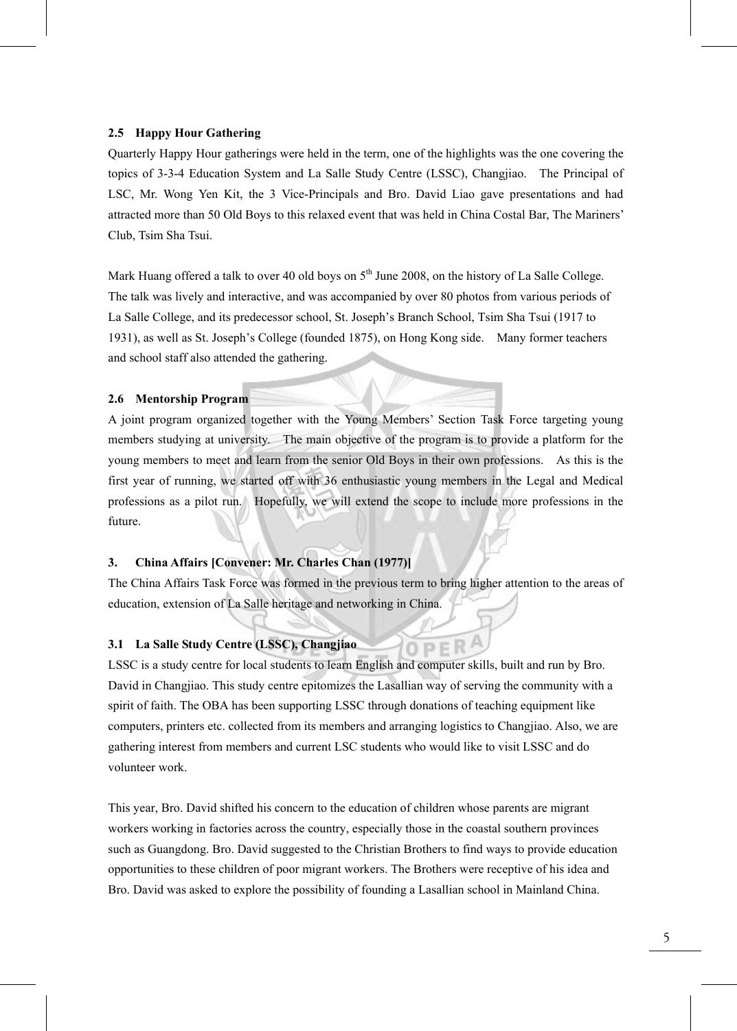#### **2.5 Happy Hour Gathering**

Quarterly Happy Hour gatherings were held in the term, one of the highlights was the one covering the topics of 3-3-4 Education System and La Salle Study Centre (LSSC), Changjiao. The Principal of LSC, Mr. Wong Yen Kit, the 3 Vice-Principals and Bro. David Liao gave presentations and had attracted more than 50 Old Boys to this relaxed event that was held in China Costal Bar, The Mariners' Club, Tsim Sha Tsui.

Mark Huang offered a talk to over 40 old boys on  $5<sup>th</sup>$  June 2008, on the history of La Salle College. The talk was lively and interactive, and was accompanied by over 80 photos from various periods of La Salle College, and its predecessor school, St. Joseph's Branch School, Tsim Sha Tsui (1917 to 1931), as well as St. Joseph's College (founded 1875), on Hong Kong side. Many former teachers and school staff also attended the gathering.

# **2.6 Mentorship Program**

A joint program organized together with the Young Members' Section Task Force targeting young members studying at university. The main objective of the program is to provide a platform for the young members to meet and learn from the senior Old Boys in their own professions. As this is the first year of running, we started off with 36 enthusiastic young members in the Legal and Medical professions as a pilot run. Hopefully, we will extend the scope to include more professions in the future.

# **3. China Affairs [Convener: Mr. Charles Chan (1977)]**

The China Affairs Task Force was formed in the previous term to bring higher attention to the areas of education, extension of La Salle heritage and networking in China.

OPER

#### **3.1 La Salle Study Centre (LSSC), Changjiao**

LSSC is a study centre for local students to learn English and computer skills, built and run by Bro. David in Changjiao. This study centre epitomizes the Lasallian way of serving the community with a spirit of faith. The OBA has been supporting LSSC through donations of teaching equipment like computers, printers etc. collected from its members and arranging logistics to Changjiao. Also, we are gathering interest from members and current LSC students who would like to visit LSSC and do volunteer work.

This year, Bro. David shifted his concern to the education of children whose parents are migrant workers working in factories across the country, especially those in the coastal southern provinces such as Guangdong. Bro. David suggested to the Christian Brothers to find ways to provide education opportunities to these children of poor migrant workers. The Brothers were receptive of his idea and Bro. David was asked to explore the possibility of founding a Lasallian school in Mainland China.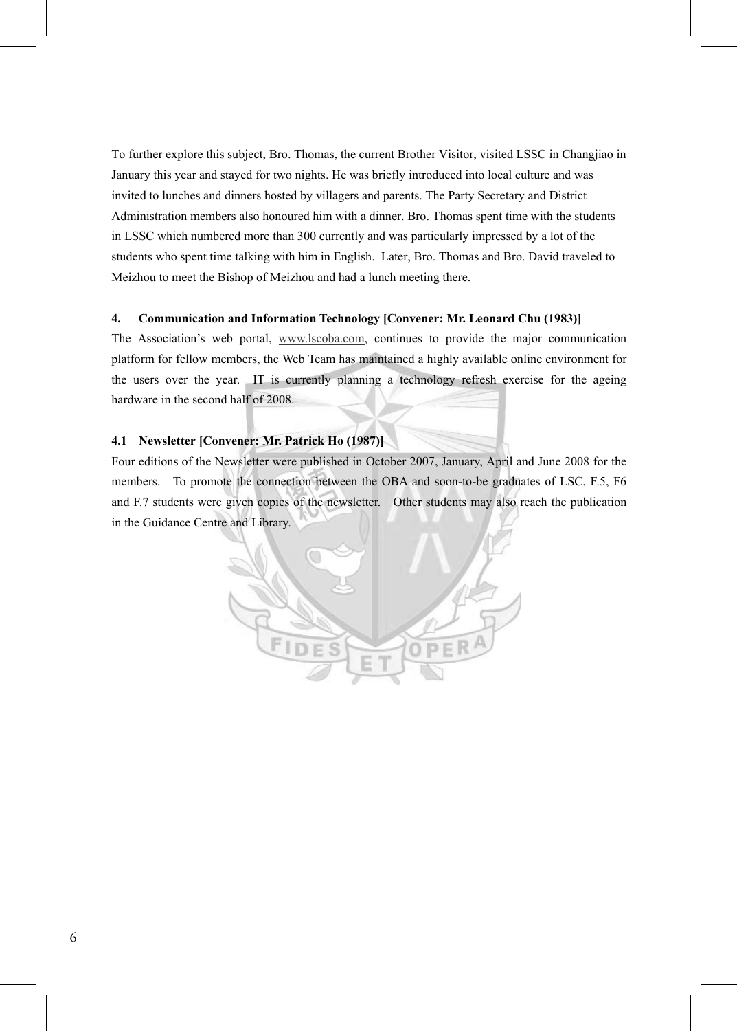To further explore this subject, Bro. Thomas, the current Brother Visitor, visited LSSC in Changjiao in January this year and stayed for two nights. He was briefly introduced into local culture and was invited to lunches and dinners hosted by villagers and parents. The Party Secretary and District Administration members also honoured him with a dinner. Bro. Thomas spent time with the students in LSSC which numbered more than 300 currently and was particularly impressed by a lot of the students who spent time talking with him in English. Later, Bro. Thomas and Bro. David traveled to Meizhou to meet the Bishop of Meizhou and had a lunch meeting there.

#### **4. Communication and Information Technology [Convener: Mr. Leonard Chu (1983)]**

The Association's web portal, www.lscoba.com, continues to provide the major communication platform for fellow members, the Web Team has maintained a highly available online environment for the users over the year. IT is currently planning a technology refresh exercise for the ageing hardware in the second half of 2008.

#### **4.1 Newsletter [Convener: Mr. Patrick Ho (1987)]**

Four editions of the Newsletter were published in October 2007, January, April and June 2008 for the members. To promote the connection between the OBA and soon-to-be graduates of LSC, F.5, F6 and F.7 students were given copies of the newsletter. Other students may also reach the publication in the Guidance Centre and Library.

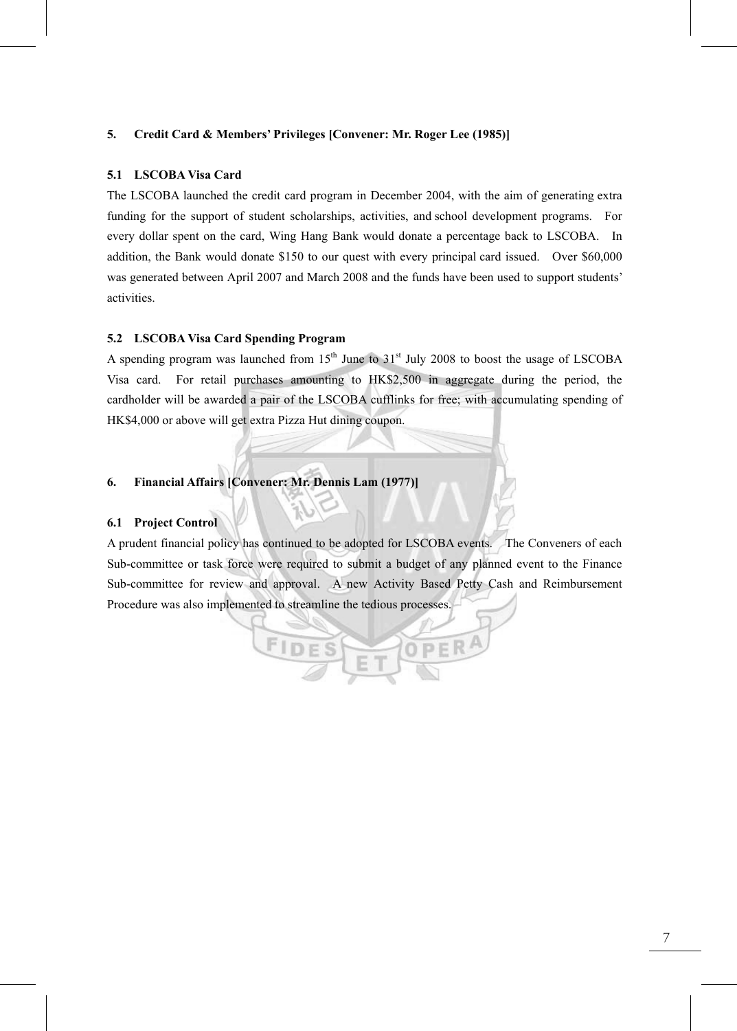#### **5. Credit Card & Members' Privileges [Convener: Mr. Roger Lee (1985)]**

#### **5.1 LSCOBA Visa Card**

The LSCOBA launched the credit card program in December 2004, with the aim of generating extra funding for the support of student scholarships, activities, and school development programs. For every dollar spent on the card, Wing Hang Bank would donate a percentage back to LSCOBA. In addition, the Bank would donate \$150 to our quest with every principal card issued. Over \$60,000 was generated between April 2007 and March 2008 and the funds have been used to support students' activities.

#### **5.2 LSCOBA Visa Card Spending Program**

A spending program was launched from  $15<sup>th</sup>$  June to  $31<sup>st</sup>$  July 2008 to boost the usage of LSCOBA Visa card. For retail purchases amounting to HK\$2,500 in aggregate during the period, the cardholder will be awarded a pair of the LSCOBA cufflinks for free; with accumulating spending of HK\$4,000 or above will get extra Pizza Hut dining coupon.

# **6. Financial Affairs [Convener: Mr. Dennis Lam (1977)]**

# **6.1 Project Control**

A prudent financial policy has continued to be adopted for LSCOBA events. The Conveners of each Sub-committee or task force were required to submit a budget of any planned event to the Finance Sub-committee for review and approval. A new Activity Based Petty Cash and Reimbursement Procedure was also implemented to streamline the tedious processes.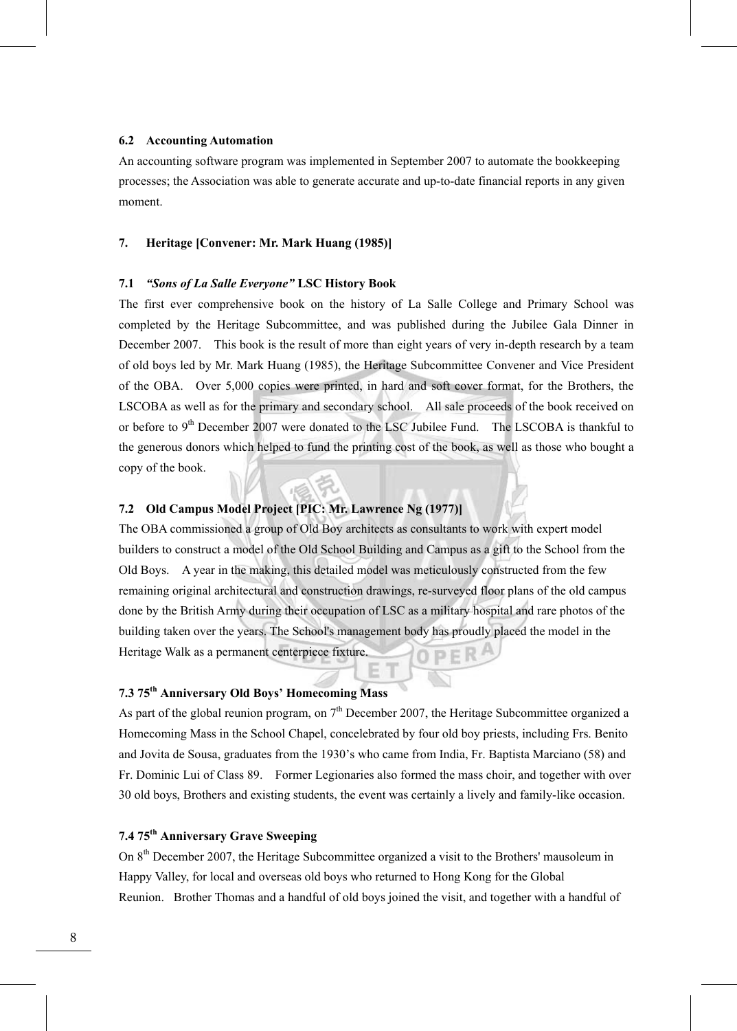#### **6.2 Accounting Automation**

An accounting software program was implemented in September 2007 to automate the bookkeeping processes; the Association was able to generate accurate and up-to-date financial reports in any given moment.

#### **7. Heritage [Convener: Mr. Mark Huang (1985)]**

#### **7.1** *"Sons of La Salle Everyone"* **LSC History Book**

The first ever comprehensive book on the history of La Salle College and Primary School was completed by the Heritage Subcommittee, and was published during the Jubilee Gala Dinner in December 2007. This book is the result of more than eight years of very in-depth research by a team of old boys led by Mr. Mark Huang (1985), the Heritage Subcommittee Convener and Vice President of the OBA. Over 5,000 copies were printed, in hard and soft cover format, for the Brothers, the LSCOBA as well as for the primary and secondary school. All sale proceeds of the book received on or before to 9<sup>th</sup> December 2007 were donated to the LSC Jubilee Fund. The LSCOBA is thankful to the generous donors which helped to fund the printing cost of the book, as well as those who bought a copy of the book.

# **7.2 Old Campus Model Project [PIC: Mr. Lawrence Ng (1977)]**

The OBA commissioned a group of Old Boy architects as consultants to work with expert model builders to construct a model of the Old School Building and Campus as a gift to the School from the Old Boys. A year in the making, this detailed model was meticulously constructed from the few remaining original architectural and construction drawings, re-surveyed floor plans of the old campus done by the British Army during their occupation of LSC as a military hospital and rare photos of the building taken over the years. The School's management body has proudly placed the model in the Heritage Walk as a permanent centerpiece fixture.

# **7.3 75th Anniversary Old Boys' Homecoming Mass**

As part of the global reunion program, on  $7<sup>th</sup>$  December 2007, the Heritage Subcommittee organized a Homecoming Mass in the School Chapel, concelebrated by four old boy priests, including Frs. Benito and Jovita de Sousa, graduates from the 1930's who came from India, Fr. Baptista Marciano (58) and Fr. Dominic Lui of Class 89. Former Legionaries also formed the mass choir, and together with over 30 old boys, Brothers and existing students, the event was certainly a lively and family-like occasion.

# **7.4 75th Anniversary Grave Sweeping**

On 8th December 2007, the Heritage Subcommittee organized a visit to the Brothers' mausoleum in Happy Valley, for local and overseas old boys who returned to Hong Kong for the Global Reunion. Brother Thomas and a handful of old boys joined the visit, and together with a handful of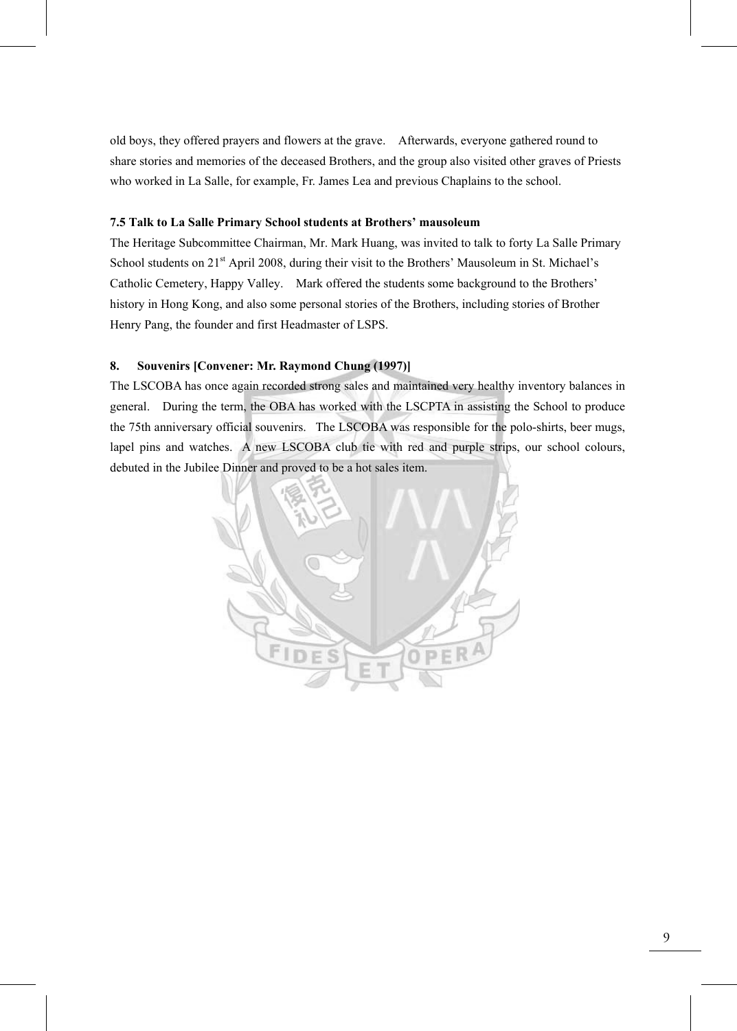old boys, they offered prayers and flowers at the grave. Afterwards, everyone gathered round to share stories and memories of the deceased Brothers, and the group also visited other graves of Priests who worked in La Salle, for example, Fr. James Lea and previous Chaplains to the school.

# **7.5 Talk to La Salle Primary School students at Brothers' mausoleum**

The Heritage Subcommittee Chairman, Mr. Mark Huang, was invited to talk to forty La Salle Primary School students on 21<sup>st</sup> April 2008, during their visit to the Brothers' Mausoleum in St. Michael's Catholic Cemetery, Happy Valley. Mark offered the students some background to the Brothers' history in Hong Kong, and also some personal stories of the Brothers, including stories of Brother Henry Pang, the founder and first Headmaster of LSPS.

# **8. Souvenirs [Convener: Mr. Raymond Chung (1997)]**

The LSCOBA has once again recorded strong sales and maintained very healthy inventory balances in general. During the term, the OBA has worked with the LSCPTA in assisting the School to produce the 75th anniversary official souvenirs. The LSCOBA was responsible for the polo-shirts, beer mugs, lapel pins and watches. A new LSCOBA club tie with red and purple strips, our school colours, debuted in the Jubilee Dinner and proved to be a hot sales item.

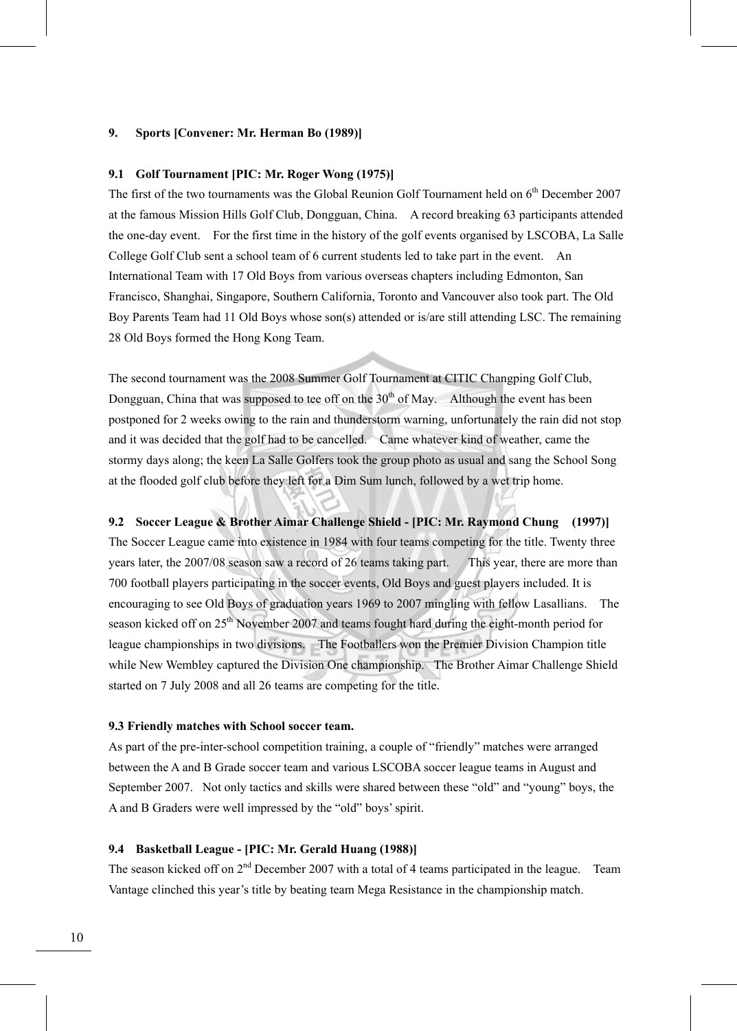#### **9. Sports [Convener: Mr. Herman Bo (1989)]**

#### **9.1 Golf Tournament [PIC: Mr. Roger Wong (1975)]**

The first of the two tournaments was the Global Reunion Golf Tournament held on  $6<sup>th</sup>$  December 2007 at the famous Mission Hills Golf Club, Dongguan, China. A record breaking 63 participants attended the one-day event. For the first time in the history of the golf events organised by LSCOBA, La Salle College Golf Club sent a school team of 6 current students led to take part in the event. An International Team with 17 Old Boys from various overseas chapters including Edmonton, San Francisco, Shanghai, Singapore, Southern California, Toronto and Vancouver also took part. The Old Boy Parents Team had 11 Old Boys whose son(s) attended or is/are still attending LSC. The remaining 28 Old Boys formed the Hong Kong Team.

The second tournament was the 2008 Summer Golf Tournament at CITIC Changping Golf Club, Dongguan, China that was supposed to tee off on the  $30<sup>th</sup>$  of May. Although the event has been postponed for 2 weeks owing to the rain and thunderstorm warning, unfortunately the rain did not stop and it was decided that the golf had to be cancelled. Came whatever kind of weather, came the stormy days along; the keen La Salle Golfers took the group photo as usual and sang the School Song at the flooded golf club before they left for a Dim Sum lunch, followed by a wet trip home.

#### **9.2 Soccer League & Brother Aimar Challenge Shield - [PIC: Mr. Raymond Chung (1997)]**

The Soccer League came into existence in 1984 with four teams competing for the title. Twenty three years later, the 2007/08 season saw a record of 26 teams taking part. This year, there are more than 700 football players participating in the soccer events, Old Boys and guest players included. It is encouraging to see Old Boys of graduation years 1969 to 2007 mingling with fellow Lasallians. The season kicked off on 25<sup>th</sup> November 2007 and teams fought hard during the eight-month period for league championships in two divisions. The Footballers won the Premier Division Champion title while New Wembley captured the Division One championship. The Brother Aimar Challenge Shield started on 7 July 2008 and all 26 teams are competing for the title.

#### **9.3 Friendly matches with School soccer team.**

As part of the pre-inter-school competition training, a couple of "friendly" matches were arranged between the A and B Grade soccer team and various LSCOBA soccer league teams in August and September 2007. Not only tactics and skills were shared between these "old" and "young" boys, the A and B Graders were well impressed by the "old" boys' spirit.

#### **9.4 Basketball League - [PIC: Mr. Gerald Huang (1988)]**

The season kicked off on 2<sup>nd</sup> December 2007 with a total of 4 teams participated in the league. Team Vantage clinched this year's title by beating team Mega Resistance in the championship match.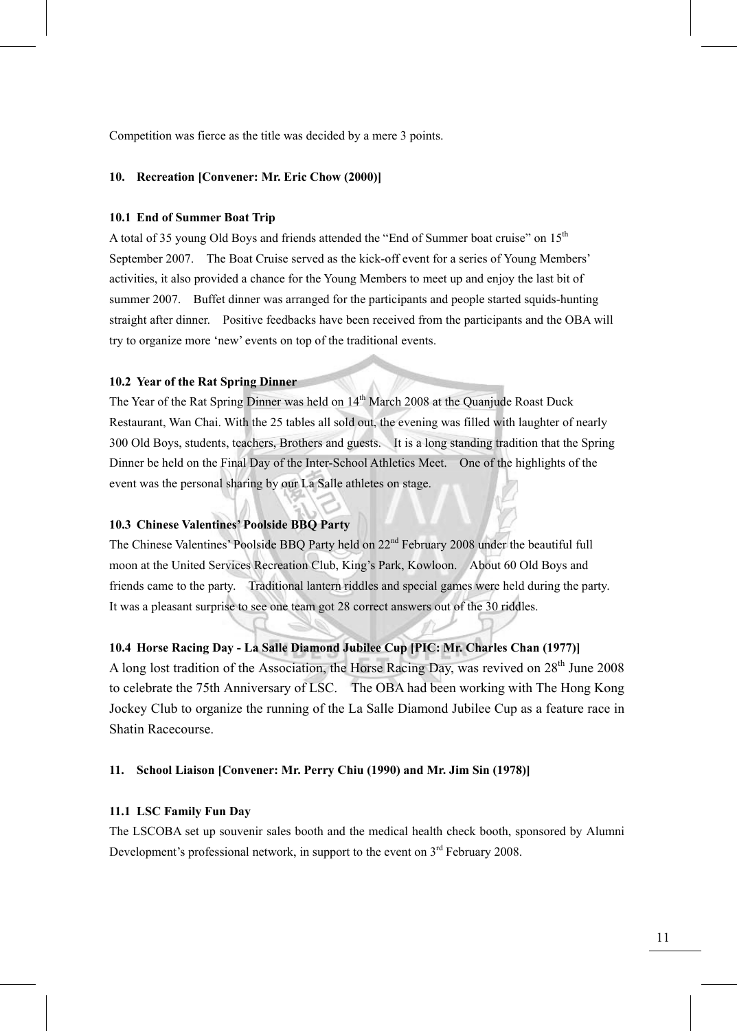Competition was fierce as the title was decided by a mere 3 points.

#### **10. Recreation [Convener: Mr. Eric Chow (2000)]**

#### **10.1 End of Summer Boat Trip**

A total of 35 young Old Boys and friends attended the "End of Summer boat cruise" on 15th September 2007. The Boat Cruise served as the kick-off event for a series of Young Members' activities, it also provided a chance for the Young Members to meet up and enjoy the last bit of summer 2007. Buffet dinner was arranged for the participants and people started squids-hunting straight after dinner. Positive feedbacks have been received from the participants and the OBA will try to organize more 'new' events on top of the traditional events.

# **10.2 Year of the Rat Spring Dinner**

The Year of the Rat Spring Dinner was held on 14<sup>th</sup> March 2008 at the Quanjude Roast Duck Restaurant, Wan Chai. With the 25 tables all sold out, the evening was filled with laughter of nearly 300 Old Boys, students, teachers, Brothers and guests. It is a long standing tradition that the Spring Dinner be held on the Final Day of the Inter-School Athletics Meet. One of the highlights of the event was the personal sharing by our La Salle athletes on stage.

# **10.3 Chinese Valentines' Poolside BBQ Party**

The Chinese Valentines' Poolside BBQ Party held on  $22<sup>nd</sup>$  February 2008 under the beautiful full moon at the United Services Recreation Club, King's Park, Kowloon. About 60 Old Boys and friends came to the party. Traditional lantern riddles and special games were held during the party. It was a pleasant surprise to see one team got 28 correct answers out of the 30 riddles.

# **10.4 Horse Racing Day - La Salle Diamond Jubilee Cup [PIC: Mr. Charles Chan (1977)]**

A long lost tradition of the Association, the Horse Racing Day, was revived on  $28<sup>th</sup>$  June 2008 to celebrate the 75th Anniversary of LSC. The OBA had been working with The Hong Kong Jockey Club to organize the running of the La Salle Diamond Jubilee Cup as a feature race in Shatin Racecourse.

#### **11. School Liaison [Convener: Mr. Perry Chiu (1990) and Mr. Jim Sin (1978)]**

#### **11.1 LSC Family Fun Day**

The LSCOBA set up souvenir sales booth and the medical health check booth, sponsored by Alumni Development's professional network, in support to the event on  $3<sup>rd</sup>$  February 2008.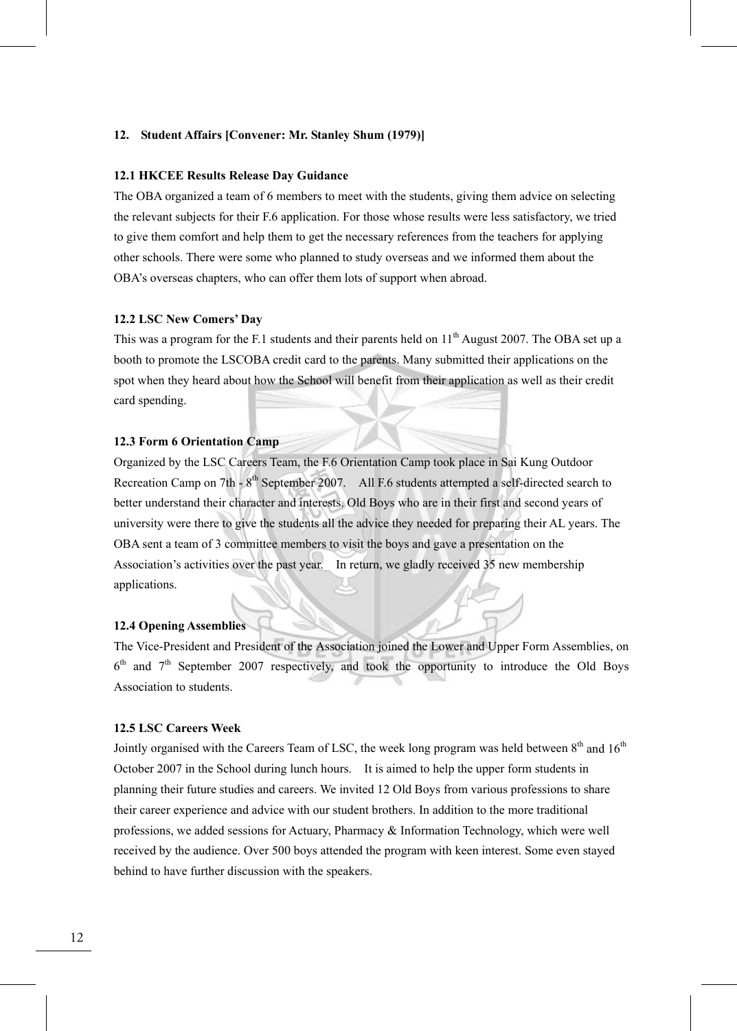#### **12. Student Affairs [Convener: Mr. Stanley Shum (1979)]**

#### **12.1 HKCEE Results Release Day Guidance**

The OBA organized a team of 6 members to meet with the students, giving them advice on selecting the relevant subjects for their F.6 application. For those whose results were less satisfactory, we tried to give them comfort and help them to get the necessary references from the teachers for applying other schools. There were some who planned to study overseas and we informed them about the OBA's overseas chapters, who can offer them lots of support when abroad.

#### **12.2 LSC New Comers' Day**

This was a program for the F.1 students and their parents held on  $11<sup>th</sup>$  August 2007. The OBA set up a booth to promote the LSCOBA credit card to the parents. Many submitted their applications on the spot when they heard about how the School will benefit from their application as well as their credit card spending.

#### **12.3 Form 6 Orientation Camp**

Organized by the LSC Careers Team, the F.6 Orientation Camp took place in Sai Kung Outdoor Recreation Camp on 7th - 8<sup>th</sup> September 2007. All F.6 students attempted a self-directed search to better understand their character and interests. Old Boys who are in their first and second years of university were there to give the students all the advice they needed for preparing their AL years. The OBA sent a team of 3 committee members to visit the boys and gave a presentation on the Association's activities over the past year. In return, we gladly received 35 new membership applications.

#### **12.4 Opening Assemblies**

The Vice-President and President of the Association joined the Lower and Upper Form Assemblies, on  $6<sup>th</sup>$  and  $7<sup>th</sup>$  September 2007 respectively, and took the opportunity to introduce the Old Boys Association to students.

#### **12.5 LSC Careers Week**

Jointly organised with the Careers Team of LSC, the week long program was held between  $8<sup>th</sup>$  and  $16<sup>th</sup>$ October 2007 in the School during lunch hours. It is aimed to help the upper form students in planning their future studies and careers. We invited 12 Old Boys from various professions to share their career experience and advice with our student brothers. In addition to the more traditional professions, we added sessions for Actuary, Pharmacy & Information Technology, which were well received by the audience. Over 500 boys attended the program with keen interest. Some even stayed behind to have further discussion with the speakers.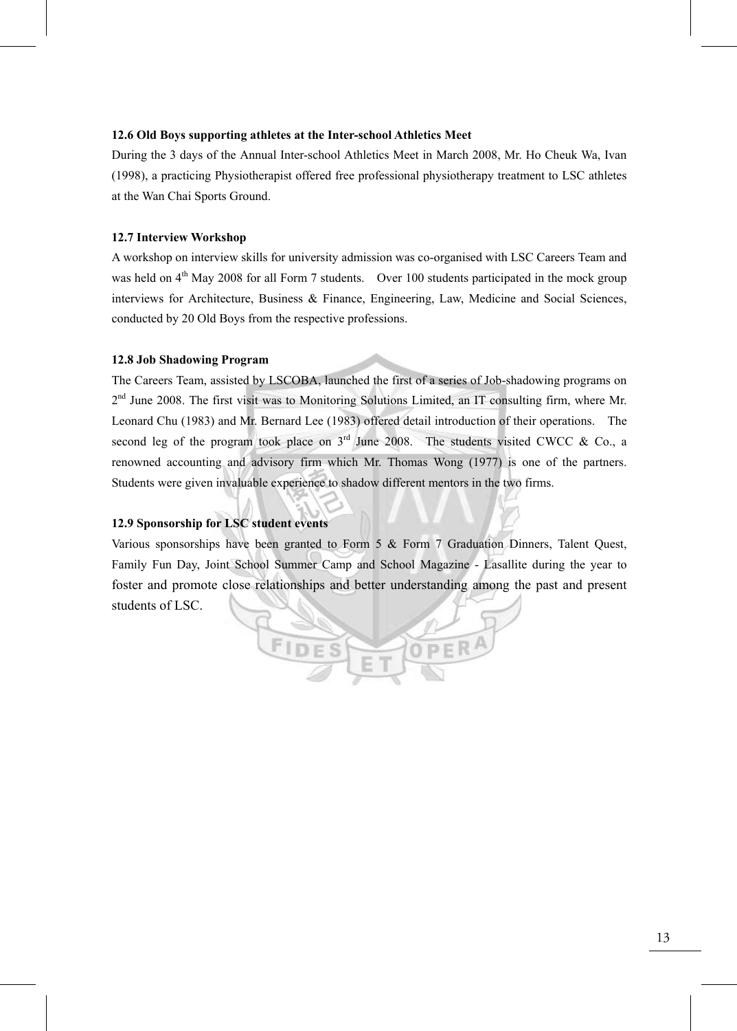#### **12.6 Old Boys supporting athletes at the Inter-school Athletics Meet**

During the 3 days of the Annual Inter-school Athletics Meet in March 2008, Mr. Ho Cheuk Wa, Ivan (1998), a practicing Physiotherapist offered free professional physiotherapy treatment to LSC athletes at the Wan Chai Sports Ground.

#### **12.7 Interview Workshop**

A workshop on interview skills for university admission was co-organised with LSC Careers Team and was held on 4<sup>th</sup> May 2008 for all Form 7 students. Over 100 students participated in the mock group interviews for Architecture, Business & Finance, Engineering, Law, Medicine and Social Sciences, conducted by 20 Old Boys from the respective professions.

#### **12.8 Job Shadowing Program**

The Careers Team, assisted by LSCOBA, launched the first of a series of Job-shadowing programs on 2<sup>nd</sup> June 2008. The first visit was to Monitoring Solutions Limited, an IT consulting firm, where Mr. Leonard Chu (1983) and Mr. Bernard Lee (1983) offered detail introduction of their operations. The second leg of the program took place on  $3<sup>rd</sup>$  June 2008. The students visited CWCC & Co., a renowned accounting and advisory firm which Mr. Thomas Wong (1977) is one of the partners. Students were given invaluable experience to shadow different mentors in the two firms.

# **12.9 Sponsorship for LSC student events**

Various sponsorships have been granted to Form 5 & Form 7 Graduation Dinners, Talent Quest, Family Fun Day, Joint School Summer Camp and School Magazine - Lasallite during the year to foster and promote close relationships and better understanding among the past and present students of LSC.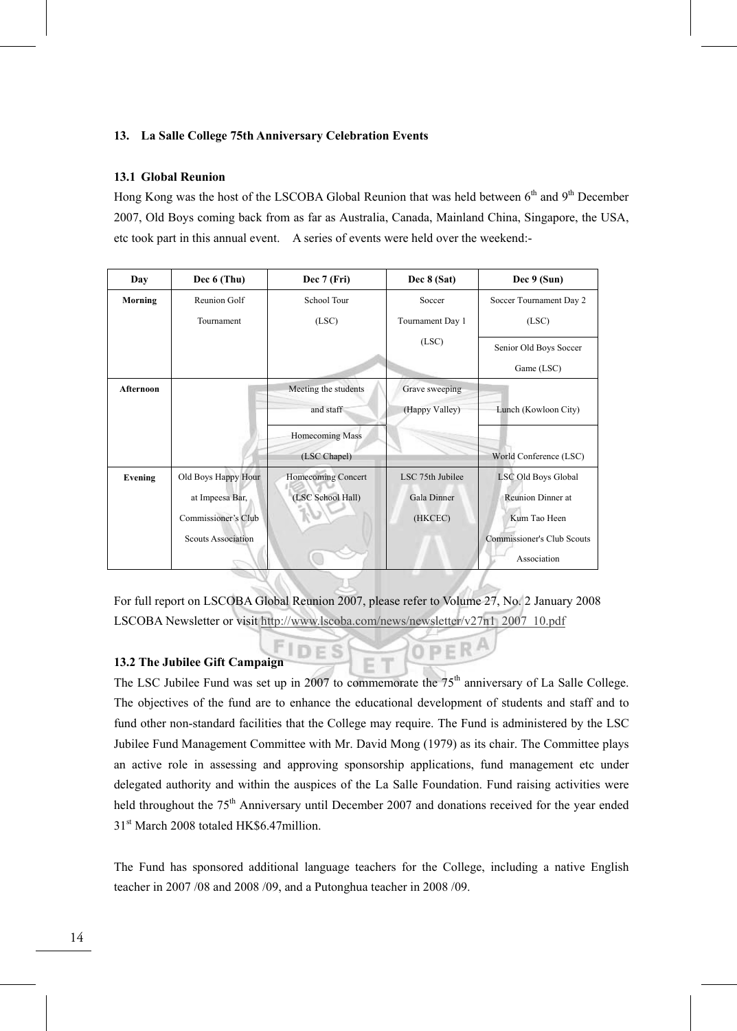# **13. La Salle College 75th Anniversary Celebration Events**

#### **13.1 Global Reunion**

Hong Kong was the host of the LSCOBA Global Reunion that was held between 6<sup>th</sup> and 9<sup>th</sup> December 2007, Old Boys coming back from as far as Australia, Canada, Mainland China, Singapore, the USA, etc took part in this annual event. A series of events were held over the weekend:-

| Day       | Dec 6 (Thu)         | Dec 7 (Fri)          | Dec 8 (Sat)      | Dec 9 (Sun)                       |
|-----------|---------------------|----------------------|------------------|-----------------------------------|
| Morning   | Reunion Golf        | School Tour          | Soccer           | Soccer Tournament Day 2           |
|           | Tournament          | (LSC)                | Tournament Day 1 | (LSC)                             |
|           |                     |                      | (LSC)            | Senior Old Boys Soccer            |
|           |                     |                      |                  | Game (LSC)                        |
| Afternoon |                     | Meeting the students | Grave sweeping   |                                   |
|           |                     | and staff            | (Happy Valley)   | Lunch (Kowloon City)              |
|           |                     | Homecoming Mass      |                  |                                   |
|           |                     | (LSC Chapel)         |                  | World Conference (LSC)            |
| Evening   | Old Boys Happy Hour | Homecoming Concert   | LSC 75th Jubilee | LSC Old Boys Global               |
|           | at Impeesa Bar,     | (LSC School Hall)    | Gala Dinner      | Reunion Dinner at                 |
|           | Commissioner's Club |                      | (HKCEC)          | Kum Tao Heen                      |
|           | Scouts Association  |                      |                  | <b>Commissioner's Club Scouts</b> |
|           |                     |                      |                  | Association                       |
|           |                     |                      |                  |                                   |

For full report on LSCOBA Global Reunion 2007, please refer to Volume 27, No. 2 January 2008 LSCOBA Newsletter or visit http://www.lscoba.com/news/newsletter/v27n1\_2007\_10.pdf

# **13.2 The Jubilee Gift Campaign**

The LSC Jubilee Fund was set up in 2007 to commemorate the 75<sup>th</sup> anniversary of La Salle College. The objectives of the fund are to enhance the educational development of students and staff and to fund other non-standard facilities that the College may require. The Fund is administered by the LSC Jubilee Fund Management Committee with Mr. David Mong (1979) as its chair. The Committee plays an active role in assessing and approving sponsorship applications, fund management etc under delegated authority and within the auspices of the La Salle Foundation. Fund raising activities were held throughout the 75<sup>th</sup> Anniversary until December 2007 and donations received for the year ended 31<sup>st</sup> March 2008 totaled HK\$6.47million.

OPER

The Fund has sponsored additional language teachers for the College, including a native English teacher in 2007 /08 and 2008 /09, and a Putonghua teacher in 2008 /09.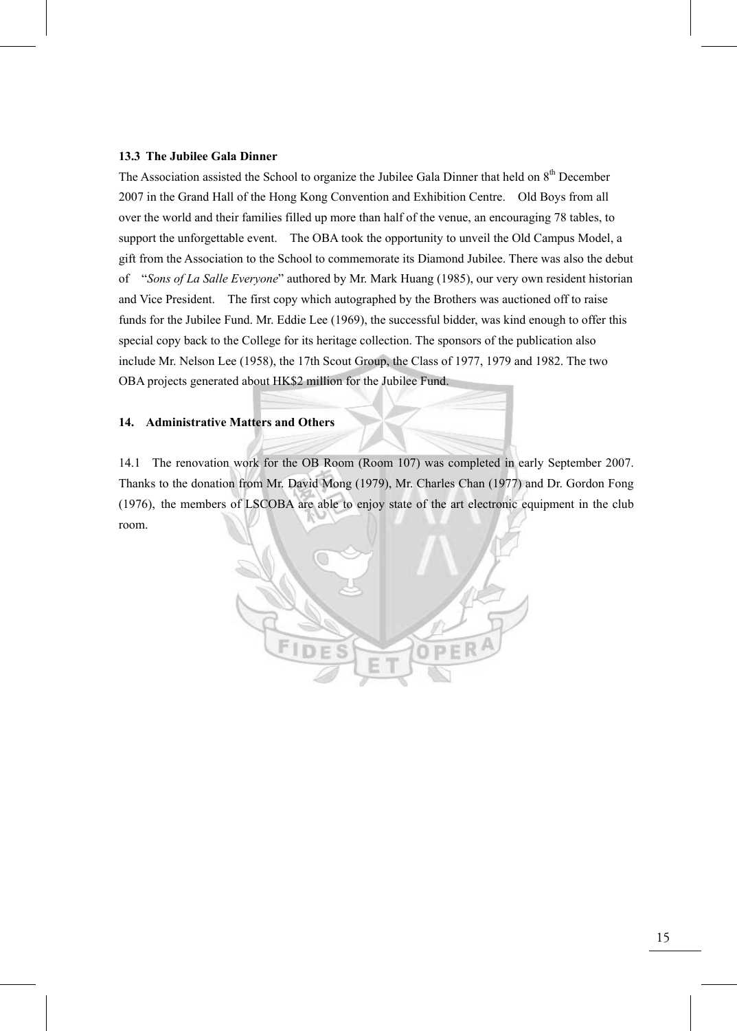#### **13.3 The Jubilee Gala Dinner**

The Association assisted the School to organize the Jubilee Gala Dinner that held on 8<sup>th</sup> December 2007 in the Grand Hall of the Hong Kong Convention and Exhibition Centre. Old Boys from all over the world and their families filled up more than half of the venue, an encouraging 78 tables, to support the unforgettable event. The OBA took the opportunity to unveil the Old Campus Model, a gift from the Association to the School to commemorate its Diamond Jubilee. There was also the debut of "*Sons of La Salle Everyone*" authored by Mr. Mark Huang (1985), our very own resident historian and Vice President. The first copy which autographed by the Brothers was auctioned off to raise funds for the Jubilee Fund. Mr. Eddie Lee (1969), the successful bidder, was kind enough to offer this special copy back to the College for its heritage collection. The sponsors of the publication also include Mr. Nelson Lee (1958), the 17th Scout Group, the Class of 1977, 1979 and 1982. The two OBA projects generated about HK\$2 million for the Jubilee Fund.

#### **14. Administrative Matters and Others**

14.1 The renovation work for the OB Room (Room 107) was completed in early September 2007. Thanks to the donation from Mr. David Mong (1979), Mr. Charles Chan (1977) and Dr. Gordon Fong (1976), the members of LSCOBA are able to enjoy state of the art electronic equipment in the club room.

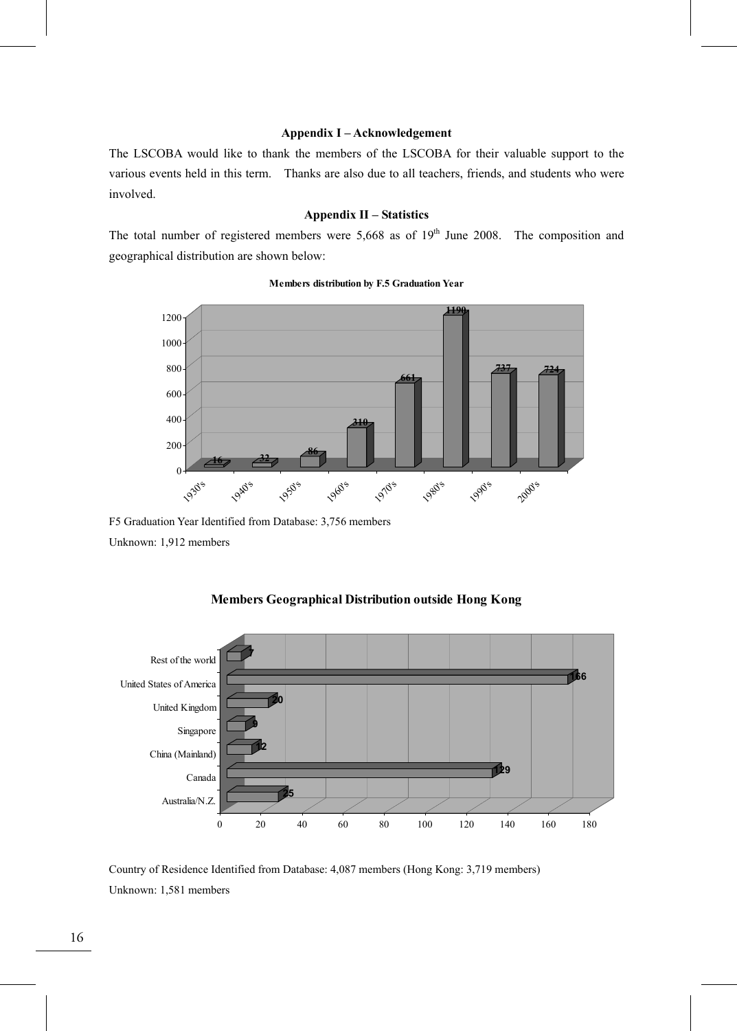#### **Appendix I – Acknowledgement**

The LSCOBA would like to thank the members of the LSCOBA for their valuable support to the various events held in this term. Thanks are also due to all teachers, friends, and students who were involved.

# **Appendix II – Statistics**

The total number of registered members were  $5,668$  as of  $19<sup>th</sup>$  June 2008. The composition and geographical distribution are shown below:



#### **Members distribution by F.5 Graduation Year**

F5 Graduation Year Identified from Database: 3,756 members Unknown: 1,912 members





Country of Residence Identified from Database: 4,087 members (Hong Kong: 3,719 members) Unknown: 1,581 members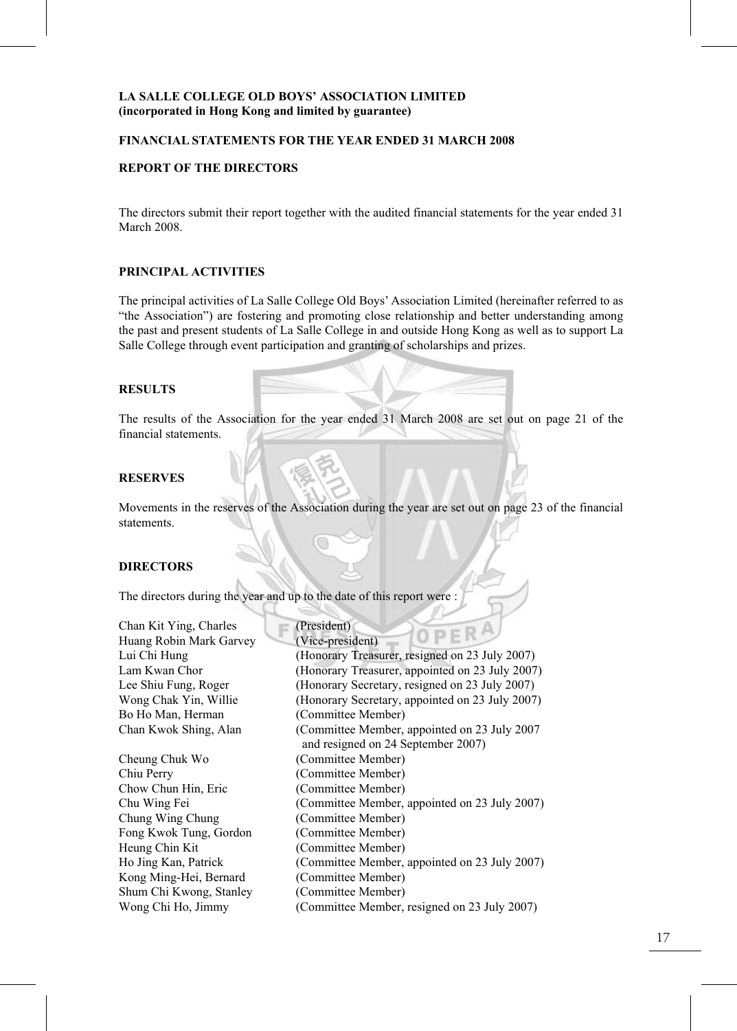# **FINANCIAL STATEMENTS FOR THE YEAR ENDED 31 MARCH 2008**

#### **REPORT OF THE DIRECTORS**

The directors submit their report together with the audited financial statements for the year ended 31 March 2008.

#### **PRINCIPAL ACTIVITIES**

The principal activities of La Salle College Old Boys' Association Limited (hereinafter referred to as "the Association") are fostering and promoting close relationship and better understanding among the past and present students of La Salle College in and outside Hong Kong as well as to support La Salle College through event participation and granting of scholarships and prizes.

# **RESULTS**

The results of the Association for the year ended 31 March 2008 are set out on page 21 of the financial statements.

#### **RESERVES**

Movements in the reserves of the Association during the year are set out on page 23 of the financial statements.

#### **DIRECTORS**

The directors during the year and up to the date of this report were :

| Chan Kit Ying, Charles  | (President)                                     |
|-------------------------|-------------------------------------------------|
| Huang Robin Mark Garvey | OPERA<br>(Vice-president)                       |
| Lui Chi Hung            | (Honorary Treasurer, resigned on 23 July 2007)  |
| Lam Kwan Chor           | (Honorary Treasurer, appointed on 23 July 2007) |
| Lee Shiu Fung, Roger    | (Honorary Secretary, resigned on 23 July 2007)  |
| Wong Chak Yin, Willie   | (Honorary Secretary, appointed on 23 July 2007) |
| Bo Ho Man, Herman       | (Committee Member)                              |
| Chan Kwok Shing, Alan   | (Committee Member, appointed on 23 July 2007    |
|                         | and resigned on 24 September 2007)              |
| Cheung Chuk Wo          | (Committee Member)                              |
| Chiu Perry              | (Committee Member)                              |
| Chow Chun Hin, Eric     | (Committee Member)                              |
| Chu Wing Fei            | (Committee Member, appointed on 23 July 2007)   |
| Chung Wing Chung        | (Committee Member)                              |
| Fong Kwok Tung, Gordon  | (Committee Member)                              |
| Heung Chin Kit          | (Committee Member)                              |
| Ho Jing Kan, Patrick    | (Committee Member, appointed on 23 July 2007)   |
| Kong Ming-Hei, Bernard  | (Committee Member)                              |
| Shum Chi Kwong, Stanley | (Committee Member)                              |
| Wong Chi Ho, Jimmy      | (Committee Member, resigned on 23 July 2007)    |
|                         |                                                 |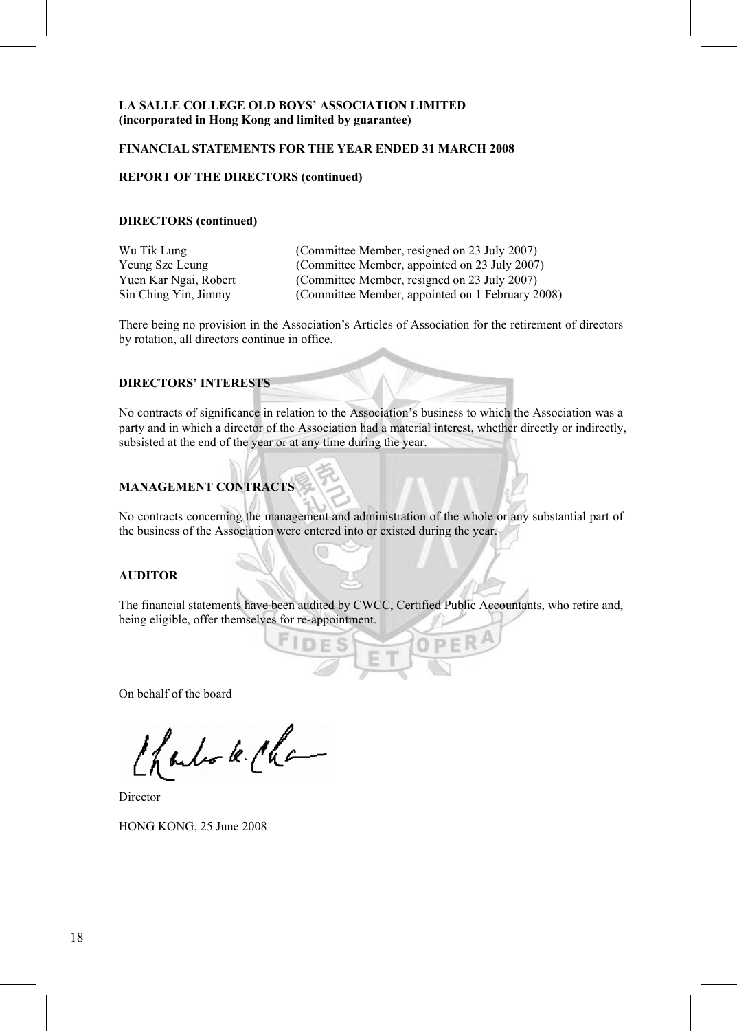#### **FINANCIAL STATEMENTS FOR THE YEAR ENDED 31 MARCH 2008**

## **REPORT OF THE DIRECTORS (continued)**

#### **DIRECTORS (continued)**

| Wu Tik Lung           | (Committee Member, resigned on 23 July 2007)     |
|-----------------------|--------------------------------------------------|
| Yeung Sze Leung       | (Committee Member, appointed on 23 July 2007)    |
| Yuen Kar Ngai, Robert | (Committee Member, resigned on 23 July 2007)     |
| Sin Ching Yin, Jimmy  | (Committee Member, appointed on 1 February 2008) |

There being no provision in the Association's Articles of Association for the retirement of directors by rotation, all directors continue in office.

#### **DIRECTORS' INTERESTS**

No contracts of significance in relation to the Association's business to which the Association was a party and in which a director of the Association had a material interest, whether directly or indirectly, subsisted at the end of the year or at any time during the year.

# **MANAGEMENT CONTRACTS**

No contracts concerning the management and administration of the whole or any substantial part of the business of the Association were entered into or existed during the year.

# **AUDITOR**

The financial statements have been audited by CWCC, Certified Public Accountants, who retire and, being eligible, offer themselves for re-appointment.

On behalf of the board

Charles le Cha

Director

HONG KONG, 25 June 2008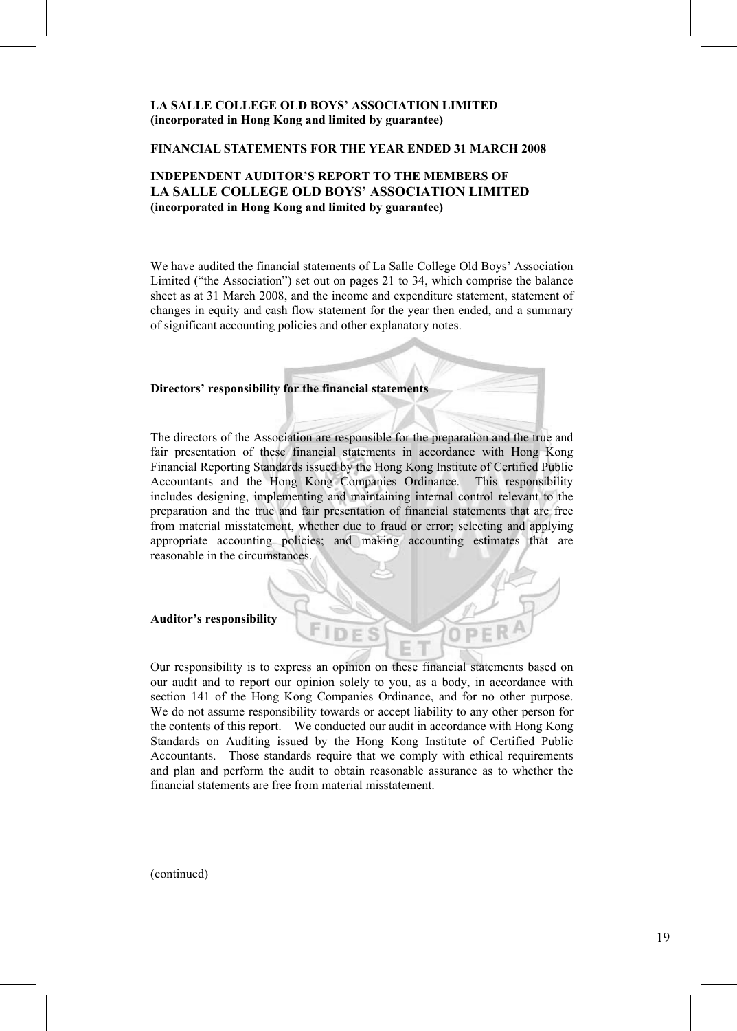#### **FINANCIAL STATEMENTS FOR THE YEAR ENDED 31 MARCH 2008**

# **INDEPENDENT AUDITOR'S REPORT TO THE MEMBERS OF LA SALLE COLLEGE OLD BOYS' ASSOCIATION LIMITED (incorporated in Hong Kong and limited by guarantee)**

We have audited the financial statements of La Salle College Old Boys' Association Limited ("the Association") set out on pages 21 to 34, which comprise the balance sheet as at 31 March 2008, and the income and expenditure statement, statement of changes in equity and cash flow statement for the year then ended, and a summary of significant accounting policies and other explanatory notes.

#### **Directors' responsibility for the financial statements**

The directors of the Association are responsible for the preparation and the true and fair presentation of these financial statements in accordance with Hong Kong Financial Reporting Standards issued by the Hong Kong Institute of Certified Public Accountants and the Hong Kong Companies Ordinance. This responsibility includes designing, implementing and maintaining internal control relevant to the preparation and the true and fair presentation of financial statements that are free from material misstatement, whether due to fraud or error; selecting and applying appropriate accounting policies; and making accounting estimates that are reasonable in the circumstances.

**Auditor's responsibility** 

Our responsibility is to express an opinion on these financial statements based on our audit and to report our opinion solely to you, as a body, in accordance with section 141 of the Hong Kong Companies Ordinance, and for no other purpose. We do not assume responsibility towards or accept liability to any other person for the contents of this report. We conducted our audit in accordance with Hong Kong Standards on Auditing issued by the Hong Kong Institute of Certified Public Accountants. Those standards require that we comply with ethical requirements and plan and perform the audit to obtain reasonable assurance as to whether the financial statements are free from material misstatement.

(continued)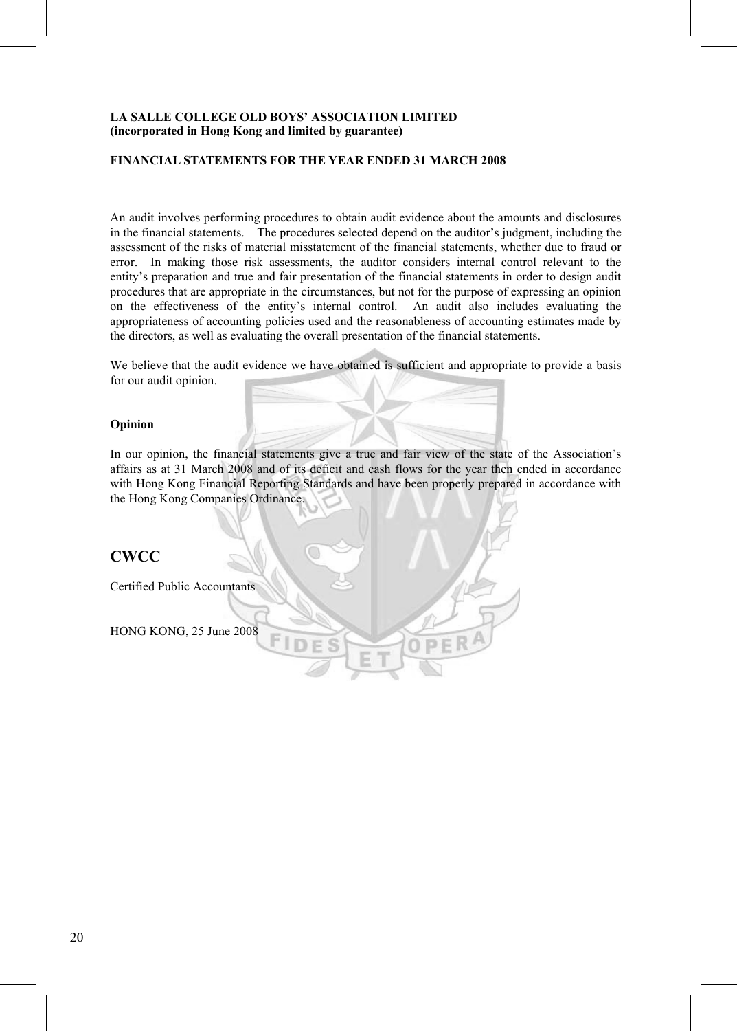#### **FINANCIAL STATEMENTS FOR THE YEAR ENDED 31 MARCH 2008**

An audit involves performing procedures to obtain audit evidence about the amounts and disclosures in the financial statements. The procedures selected depend on the auditor's judgment, including the assessment of the risks of material misstatement of the financial statements, whether due to fraud or error. In making those risk assessments, the auditor considers internal control relevant to the entity's preparation and true and fair presentation of the financial statements in order to design audit procedures that are appropriate in the circumstances, but not for the purpose of expressing an opinion on the effectiveness of the entity's internal control. An audit also includes evaluating the appropriateness of accounting policies used and the reasonableness of accounting estimates made by the directors, as well as evaluating the overall presentation of the financial statements.

We believe that the audit evidence we have obtained is sufficient and appropriate to provide a basis for our audit opinion.

#### **Opinion**

In our opinion, the financial statements give a true and fair view of the state of the Association's affairs as at 31 March 2008 and of its deficit and cash flows for the year then ended in accordance with Hong Kong Financial Reporting Standards and have been properly prepared in accordance with the Hong Kong Companies Ordinance.

# **CWCC**

Certified Public Accountants

HONG KONG, 25 June 2008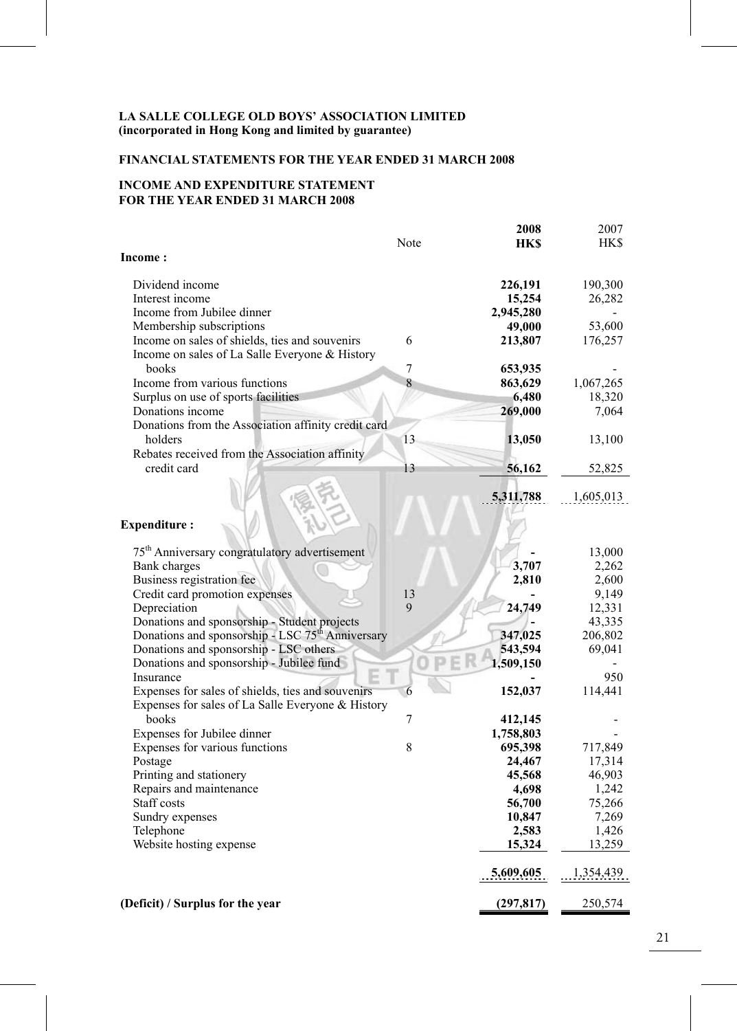# **FINANCIAL STATEMENTS FOR THE YEAR ENDED 31 MARCH 2008**

# **INCOME AND EXPENDITURE STATEMENT FOR THE YEAR ENDED 31 MARCH 2008**

|                                                              |      | 2008             | 2007            |
|--------------------------------------------------------------|------|------------------|-----------------|
|                                                              | Note | <b>HKS</b>       | HK\$            |
| <b>Income:</b>                                               |      |                  |                 |
| Dividend income                                              |      | 226,191          | 190,300         |
| Interest income                                              |      | 15,254           | 26,282          |
| Income from Jubilee dinner                                   |      | 2,945,280        |                 |
| Membership subscriptions                                     |      | 49,000           | 53,600          |
| Income on sales of shields, ties and souvenirs               | 6    | 213,807          | 176,257         |
| Income on sales of La Salle Everyone & History               |      |                  |                 |
| books                                                        | 7    | 653,935          |                 |
| Income from various functions                                | 8    | 863,629          | 1,067,265       |
| Surplus on use of sports facilities                          |      | 6,480            | 18,320          |
| Donations income                                             |      | 269,000          | 7,064           |
| Donations from the Association affinity credit card          |      |                  |                 |
| holders                                                      | 13   | 13,050           | 13,100          |
| Rebates received from the Association affinity               |      |                  |                 |
| credit card                                                  | 13   | 56,162           | 52,825          |
|                                                              |      | 5,311,788        | 1,605,013       |
|                                                              |      |                  |                 |
| <b>Expenditure:</b>                                          |      |                  |                 |
|                                                              |      |                  |                 |
| 75 <sup>th</sup> Anniversary congratulatory advertisement    |      |                  | 13,000          |
| Bank charges                                                 |      | 3,707            | 2,262           |
| Business registration fee                                    |      | 2,810            | 2,600           |
| Credit card promotion expenses                               | 13   |                  | 9,149           |
| Depreciation                                                 | 9    | 24,749           | 12,331          |
| Donations and sponsorship - Student projects                 |      |                  | 43,335          |
| Donations and sponsorship - LSC 75 <sup>th</sup> Anniversary |      | 347,025          | 206,802         |
| Donations and sponsorship - LSC others                       |      | 543,594          | 69,041          |
| Donations and sponsorship - Jubilee fund                     |      | 1,509,150        |                 |
| Insurance                                                    |      |                  | 950             |
| Expenses for sales of shields, ties and souvenirs            | 6    | 152,037          | 114,441         |
| Expenses for sales of La Salle Everyone & History            |      |                  |                 |
| books                                                        | 7    | 412,145          |                 |
| Expenses for Jubilee dinner                                  |      | 1,758,803        |                 |
| Expenses for various functions                               | 8    | 695,398          | 717,849         |
| Postage                                                      |      | 24,467           | 17,314          |
| Printing and stationery                                      |      | 45,568           | 46,903          |
| Repairs and maintenance<br>Staff costs                       |      | 4,698            | 1,242           |
| Sundry expenses                                              |      | 56,700<br>10,847 | 75,266<br>7,269 |
| Telephone                                                    |      | 2,583            | 1,426           |
| Website hosting expense                                      |      | 15,324           | 13,259          |
|                                                              |      |                  |                 |
|                                                              |      | 5,609,605        | 1,354,439       |
|                                                              |      |                  |                 |
| (Deficit) / Surplus for the year                             |      | (297, 817)       | 250,574         |

21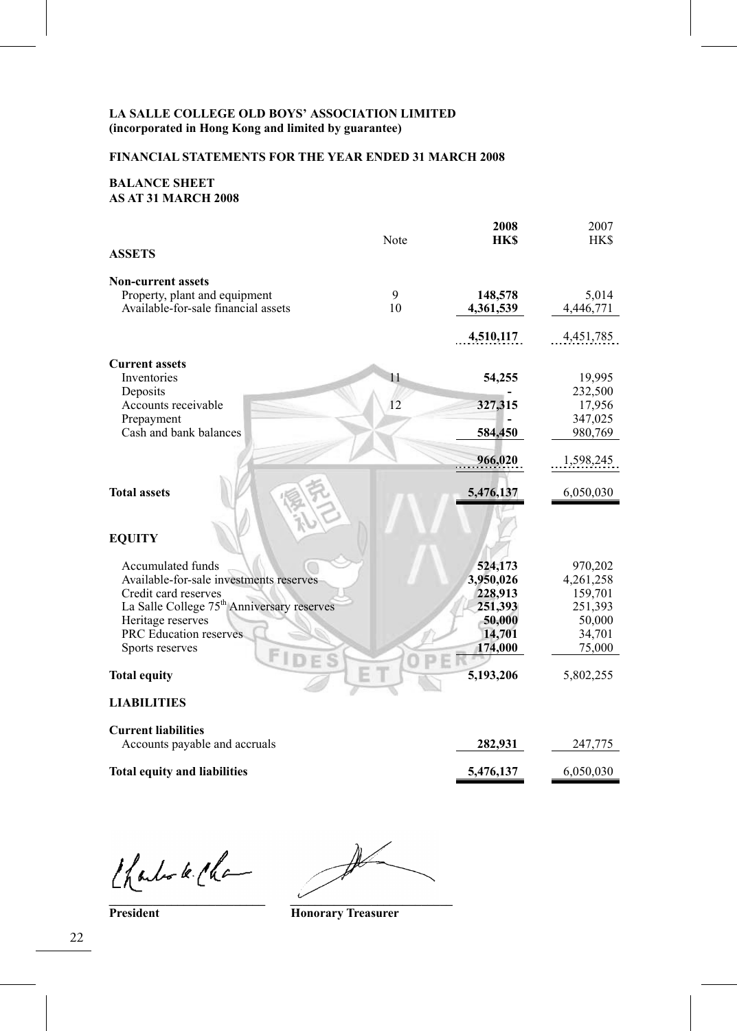# **FINANCIAL STATEMENTS FOR THE YEAR ENDED 31 MARCH 2008**

#### **BALANCE SHEET AS AT 31 MARCH 2008**

| <b>ASSETS</b>                                                        | Note    | 2008<br><b>HKS</b>   | 2007<br><b>HKS</b> |
|----------------------------------------------------------------------|---------|----------------------|--------------------|
|                                                                      |         |                      |                    |
| <b>Non-current assets</b>                                            |         |                      |                    |
| Property, plant and equipment<br>Available-for-sale financial assets | 9<br>10 | 148,578<br>4,361,539 | 5,014              |
|                                                                      |         |                      | 4,446,771          |
|                                                                      |         | 4,510,117            | 4,451,785          |
| <b>Current assets</b>                                                |         |                      |                    |
| Inventories                                                          | 11      | 54,255               | 19,995             |
| Deposits                                                             |         |                      | 232,500            |
| Accounts receivable                                                  | 12      | 327,315              | 17,956             |
| Prepayment                                                           |         |                      | 347,025            |
| Cash and bank balances                                               |         | 584,450              | 980,769            |
|                                                                      |         | 966,020              | 1,598,245          |
| <b>Total assets</b>                                                  |         | 5,476,137            | 6,050,030          |
| <b>EQUITY</b>                                                        |         |                      |                    |
| Accumulated funds                                                    |         | 524,173              | 970,202            |
| Available-for-sale investments reserves                              |         | 3,950,026            | 4,261,258          |
| Credit card reserves                                                 |         | 228,913              | 159,701            |
| La Salle College 75 <sup>th</sup> Anniversary reserves               |         | 251,393              | 251,393            |
| Heritage reserves                                                    |         | 50,000               | 50,000             |
| PRC Education reserves                                               |         | 14,701               | 34,701             |
| Sports reserves<br>FIDE                                              |         | 174,000              | 75,000             |
| <b>Total equity</b>                                                  |         | 5,193,206            | 5,802,255          |
|                                                                      |         |                      |                    |

#### **LIABILITIES**

| <b>Current liabilities</b>          |           |           |
|-------------------------------------|-----------|-----------|
| Accounts payable and accruals       | 282.931   | 247.775   |
| <b>Total equity and liabilities</b> | 5.476.137 | 6.050.030 |

Charles le Cha

Ì **\_\_\_\_\_\_\_\_\_\_\_\_\_\_\_\_\_\_\_\_\_\_\_\_\_ \_\_\_\_\_\_\_\_\_\_\_\_\_\_\_\_\_\_\_\_\_\_\_\_\_\_**

**President Honorary Treasurer**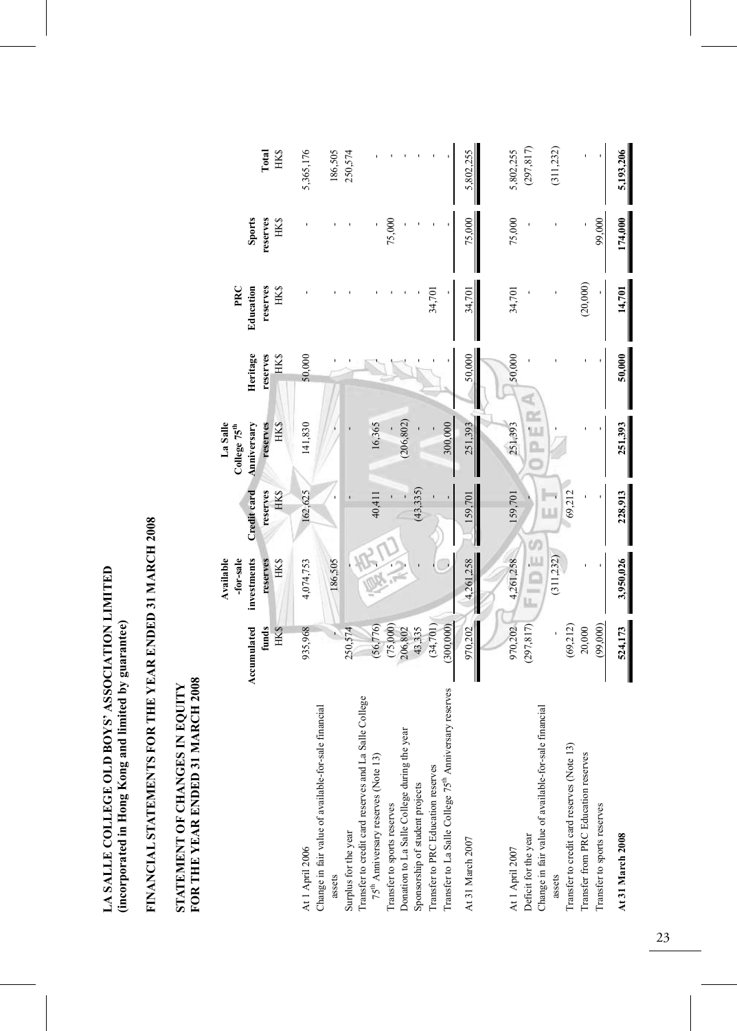LA SALLE COLLEGE OLD BOYS' ASSOCIATION LIMITED<br>(incorporated in Hong Kong and limited by guarantee) **LA SALLE COLLEGE OLD BOYS' ASSOCIATION LIMITED (incorporated in Hong Kong and limited by guarantee)** 

# FINANCIAL STATEMENTS FOR THE YEAR ENDED 31 MARCH 2008 **FINANCIAL STATEMENTS FOR THE YEAR ENDED 31 MARCH 2008**

# STATEMENT OF CHANGES IN EQUITY<br>FOR THE YEAR ENDED 31 MARCH 2008 **FOR THE YEAR ENDED 31 MARCH 2008 STATEMENT OF CHANGES IN EQUITY**

|                                                                                    | Accumulated         | investments<br>Available<br>-for-sale | Credit card      | La Salle<br>Anniversary<br>College 75 <sup>th</sup> | Heritage         | PRC<br>Education | <b>Sports</b>          |                      |
|------------------------------------------------------------------------------------|---------------------|---------------------------------------|------------------|-----------------------------------------------------|------------------|------------------|------------------------|----------------------|
|                                                                                    | funds<br>HK\$       | HK\$<br>reserves                      | reserves<br>HK\$ | <b>HK\$</b><br>reserves                             | reserves<br>HK\$ | reserves<br>HK\$ | reserves<br><b>HKS</b> | Total<br><b>HK\$</b> |
| At 1 April 2006                                                                    | 935,968             | 4,074,753                             | 162,625          | 141,830                                             | 50,000           |                  |                        | 5,365,176            |
| Change in fair value of available-for-sale financial<br>assets                     |                     | 186,505                               |                  |                                                     |                  |                  |                        | 186,505              |
| Transfer to credit card reserves and La Salle College<br>Surplus for the year      | 250,574             |                                       |                  |                                                     |                  |                  |                        | 250,574              |
| 75 <sup>th</sup> Anniversary reserves (Note 13)                                    | (56, 776)           |                                       | 40,411           | 16,365                                              |                  |                  |                        |                      |
| Donation to La Salle College during the year<br>Transfer to sports reserves        | (75,000)<br>206,802 |                                       |                  | (206, 802)                                          |                  |                  | 75,000                 |                      |
| Sponsorship of student projects                                                    | 43,335              |                                       | (43, 335)        |                                                     |                  |                  |                        |                      |
| Transfer to PRC Education reserves                                                 | (34,701)            |                                       |                  |                                                     |                  | 34,701           |                        |                      |
| Transfer to La Salle College 75 <sup>th</sup> Anniversary reserves                 | (300,000)           |                                       |                  | 300,000                                             |                  |                  |                        |                      |
| At 31 March 2007                                                                   | 970.202             | 4,261,258                             | 159.701          | 251,393                                             | 50,000           | 34,701           | 75,000                 | 5,802,255            |
|                                                                                    |                     |                                       |                  |                                                     |                  |                  |                        |                      |
| At 1 April 2007                                                                    | 970,202             | 4,261,258                             | 159,701          | 251,393                                             | 50,000           | 34,701           | 75,000                 | 5,802,255            |
| Change in fair value of available-for-sale financial<br>Deficit for the year       | (297, 817)          | $\frac{1}{2}$<br>ä                    |                  | PER                                                 | ď                |                  |                        | (297, 817)           |
| assets                                                                             |                     | (311, 232)                            | ı                |                                                     |                  |                  |                        | (311, 232)           |
| Transfer to credit card reserves (Note 13)<br>Transfer from PRC Education reserves | (69,212)<br>20,000  |                                       | 69,212           |                                                     |                  | (20,000)         |                        |                      |
| Transfer to sports reserves                                                        | (99,000)            |                                       |                  |                                                     |                  |                  | 99,000                 |                      |
| At 31 March 2008                                                                   | 524,173             | 3,950,026                             | 228,913          | 251,393                                             | 50,000           | 14,701           | 174,000                | 5,193,206            |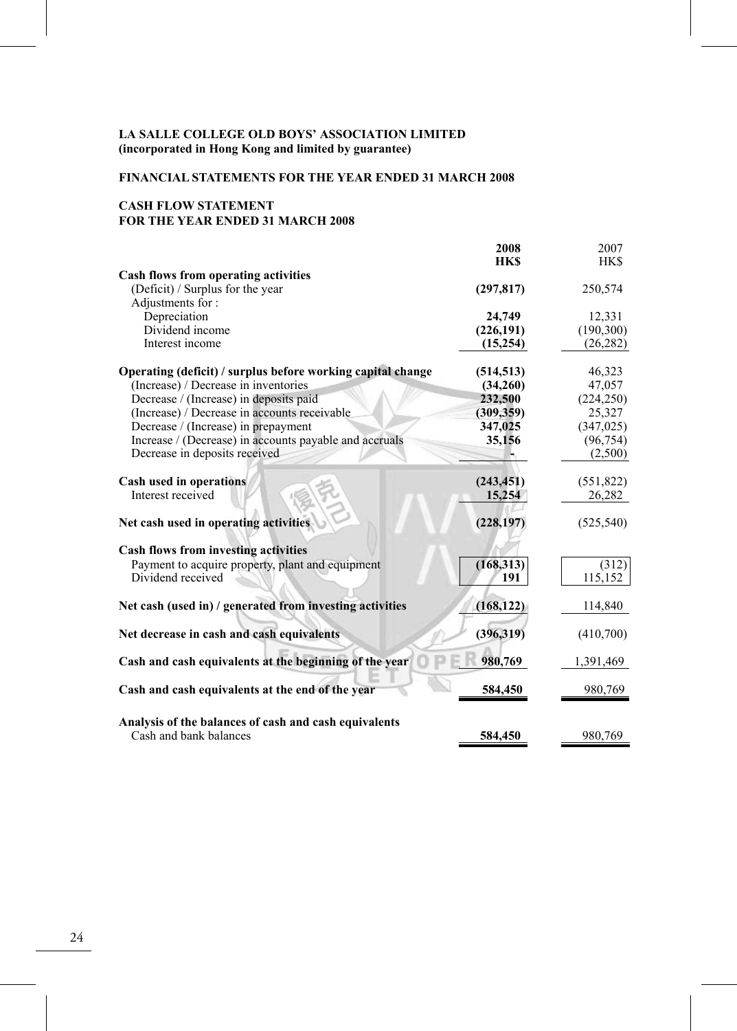# **FINANCIAL STATEMENTS FOR THE YEAR ENDED 31 MARCH 2008**

# **CASH FLOW STATEMENT FOR THE YEAR ENDED 31 MARCH 2008**

|                                                             | 2008       | 2007       |
|-------------------------------------------------------------|------------|------------|
|                                                             | <b>HKS</b> | <b>HKS</b> |
| Cash flows from operating activities                        |            |            |
| (Deficit) / Surplus for the year                            | (297, 817) | 250,574    |
| Adjustments for:                                            |            |            |
| Depreciation                                                | 24,749     | 12,331     |
| Dividend income                                             | (226, 191) | (190, 300) |
| Interest income                                             | (15,254)   | (26, 282)  |
|                                                             |            |            |
| Operating (deficit) / surplus before working capital change | (514, 513) | 46,323     |
| (Increase) / Decrease in inventories                        | (34,260)   | 47,057     |
| Decrease / (Increase) in deposits paid                      | 232,500    | (224, 250) |
| (Increase) / Decrease in accounts receivable                | (309, 359) | 25,327     |
| Decrease / (Increase) in prepayment                         | 347,025    | (347, 025) |
| Increase / (Decrease) in accounts payable and accruals      | 35,156     | (96, 754)  |
| Decrease in deposits received                               |            | (2,500)    |
| Cash used in operations                                     | (243, 451) | (551, 822) |
| Interest received                                           | 15,254     | 26,282     |
|                                                             |            |            |
| Net cash used in operating activities                       | (228, 197) | (525, 540) |
| <b>Cash flows from investing activities</b>                 |            |            |
| Payment to acquire property, plant and equipment            | (168, 313) | (312)      |
| Dividend received                                           | 191        | 115,152    |
|                                                             |            |            |
| Net cash (used in) / generated from investing activities    | (168, 122) | 114,840    |
| Net decrease in cash and cash equivalents                   | (396, 319) | (410,700)  |
|                                                             |            |            |
| Cash and cash equivalents at the beginning of the year      | 980,769    | 1,391,469  |
| Cash and cash equivalents at the end of the year            | 584,450    | 980,769    |
|                                                             |            |            |
| Analysis of the balances of cash and cash equivalents       |            |            |
| Cash and bank balances                                      | 584,450    | 980,769    |
|                                                             |            |            |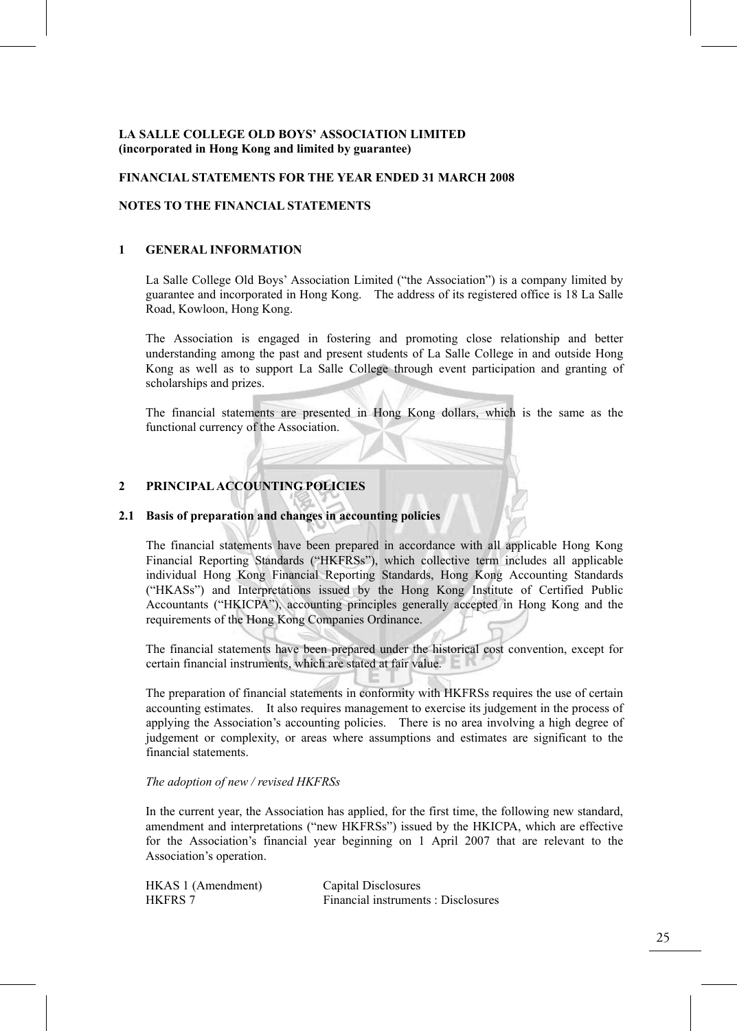#### **FINANCIAL STATEMENTS FOR THE YEAR ENDED 31 MARCH 2008**

#### **NOTES TO THE FINANCIAL STATEMENTS**

#### **1 GENERAL INFORMATION**

La Salle College Old Boys' Association Limited ("the Association") is a company limited by guarantee and incorporated in Hong Kong. The address of its registered office is 18 La Salle Road, Kowloon, Hong Kong.

The Association is engaged in fostering and promoting close relationship and better understanding among the past and present students of La Salle College in and outside Hong Kong as well as to support La Salle College through event participation and granting of scholarships and prizes.

The financial statements are presented in Hong Kong dollars, which is the same as the functional currency of the Association.

#### **2 PRINCIPAL ACCOUNTING POLICIES**

#### **2.1 Basis of preparation and changes in accounting policies**

 The financial statements have been prepared in accordance with all applicable Hong Kong Financial Reporting Standards ("HKFRSs"), which collective term includes all applicable individual Hong Kong Financial Reporting Standards, Hong Kong Accounting Standards ("HKASs") and Interpretations issued by the Hong Kong Institute of Certified Public Accountants ("HKICPA"), accounting principles generally accepted in Hong Kong and the requirements of the Hong Kong Companies Ordinance.

The financial statements have been prepared under the historical cost convention, except for certain financial instruments, which are stated at fair value.

The preparation of financial statements in conformity with HKFRSs requires the use of certain accounting estimates. It also requires management to exercise its judgement in the process of applying the Association's accounting policies. There is no area involving a high degree of judgement or complexity, or areas where assumptions and estimates are significant to the financial statements.

#### *The adoption of new / revised HKFRSs*

In the current year, the Association has applied, for the first time, the following new standard, amendment and interpretations ("new HKFRSs") issued by the HKICPA, which are effective for the Association's financial year beginning on 1 April 2007 that are relevant to the Association's operation.

| HKAS 1 (Amendment) | Capital Disclosures                 |
|--------------------|-------------------------------------|
| <b>HKFRS 7</b>     | Financial instruments : Disclosures |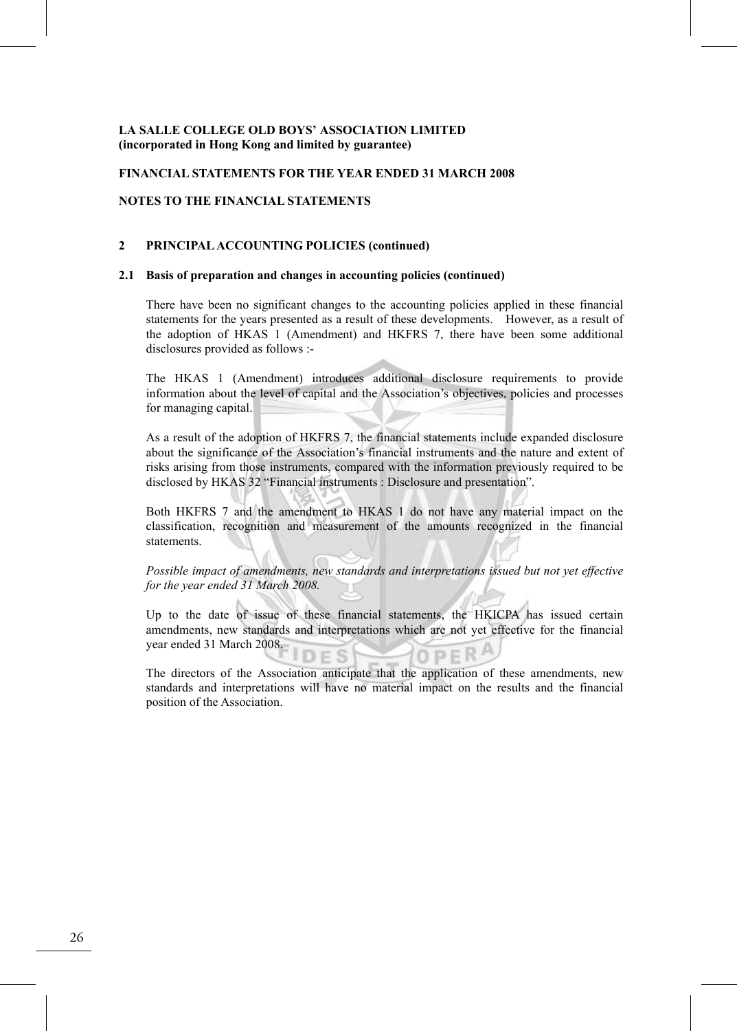#### **FINANCIAL STATEMENTS FOR THE YEAR ENDED 31 MARCH 2008**

#### **NOTES TO THE FINANCIAL STATEMENTS**

#### **2 PRINCIPAL ACCOUNTING POLICIES (continued)**

#### **2.1 Basis of preparation and changes in accounting policies (continued)**

There have been no significant changes to the accounting policies applied in these financial statements for the years presented as a result of these developments. However, as a result of the adoption of HKAS 1 (Amendment) and HKFRS 7, there have been some additional disclosures provided as follows :-

The HKAS 1 (Amendment) introduces additional disclosure requirements to provide information about the level of capital and the Association's objectives, policies and processes for managing capital.

 As a result of the adoption of HKFRS 7, the financial statements include expanded disclosure about the significance of the Association's financial instruments and the nature and extent of risks arising from those instruments, compared with the information previously required to be disclosed by HKAS 32 "Financial instruments : Disclosure and presentation".

 Both HKFRS 7 and the amendment to HKAS 1 do not have any material impact on the classification, recognition and measurement of the amounts recognized in the financial statements.

*Possible impact of amendments, new standards and interpretations issued but not yet effective for the year ended 31 March 2008.* 

 Up to the date of issue of these financial statements, the HKICPA has issued certain amendments, new standards and interpretations which are not yet effective for the financial year ended 31 March 2008.

 The directors of the Association anticipate that the application of these amendments, new standards and interpretations will have no material impact on the results and the financial position of the Association.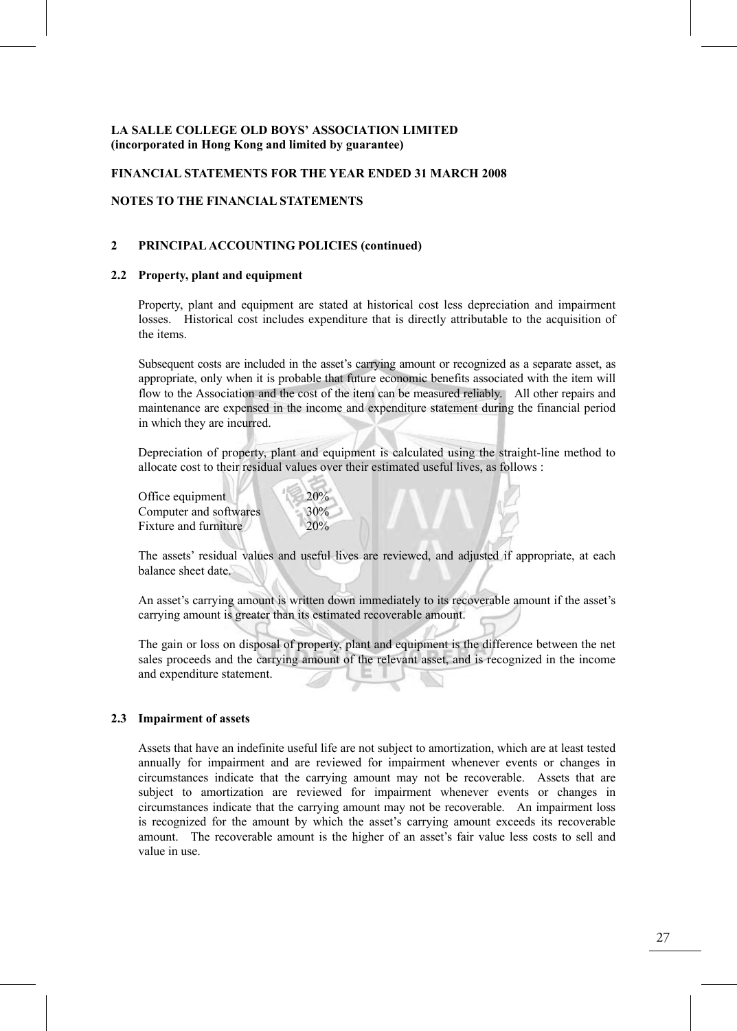#### **FINANCIAL STATEMENTS FOR THE YEAR ENDED 31 MARCH 2008**

#### **NOTES TO THE FINANCIAL STATEMENTS**

#### **2 PRINCIPAL ACCOUNTING POLICIES (continued)**

#### **2.2 Property, plant and equipment**

Property, plant and equipment are stated at historical cost less depreciation and impairment losses. Historical cost includes expenditure that is directly attributable to the acquisition of the items.

 Subsequent costs are included in the asset's carrying amount or recognized as a separate asset, as appropriate, only when it is probable that future economic benefits associated with the item will flow to the Association and the cost of the item can be measured reliably. All other repairs and maintenance are expensed in the income and expenditure statement during the financial period in which they are incurred.

Depreciation of property, plant and equipment is calculated using the straight-line method to allocate cost to their residual values over their estimated useful lives, as follows :

Office equipment 20% Computer and softwares 30% Fixture and furniture 20%

 The assets' residual values and useful lives are reviewed, and adjusted if appropriate, at each balance sheet date.

 An asset's carrying amount is written down immediately to its recoverable amount if the asset's carrying amount is greater than its estimated recoverable amount.

The gain or loss on disposal of property, plant and equipment is the difference between the net sales proceeds and the carrying amount of the relevant asset, and is recognized in the income and expenditure statement.

#### **2.3 Impairment of assets**

Assets that have an indefinite useful life are not subject to amortization, which are at least tested annually for impairment and are reviewed for impairment whenever events or changes in circumstances indicate that the carrying amount may not be recoverable. Assets that are subject to amortization are reviewed for impairment whenever events or changes in circumstances indicate that the carrying amount may not be recoverable. An impairment loss is recognized for the amount by which the asset's carrying amount exceeds its recoverable amount. The recoverable amount is the higher of an asset's fair value less costs to sell and value in use.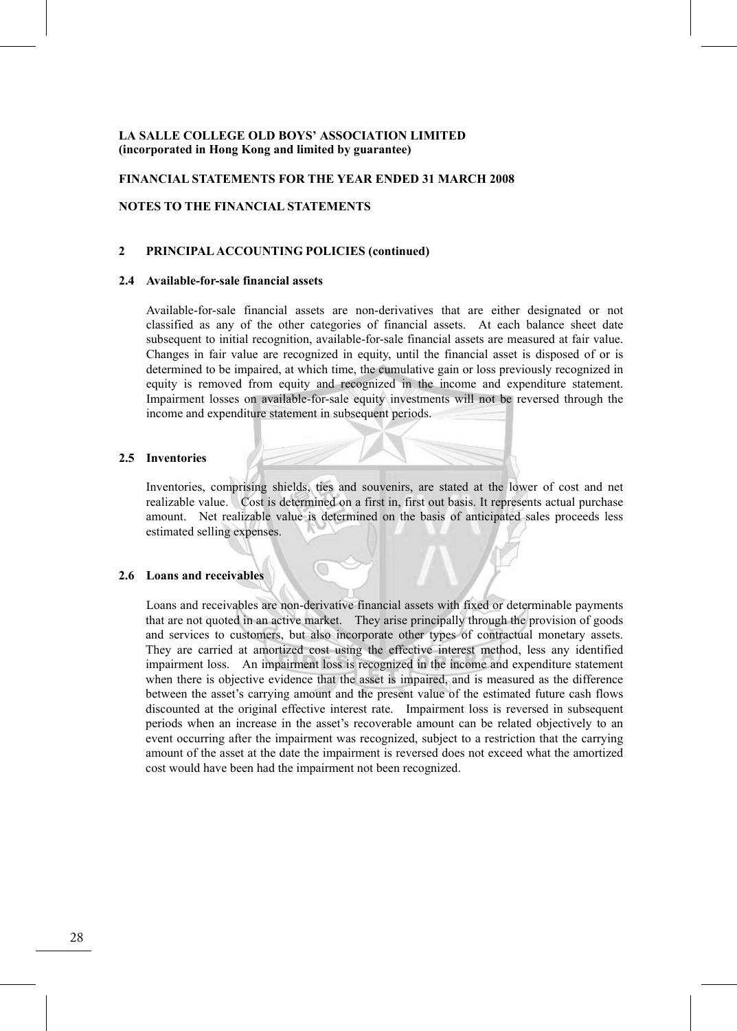#### **FINANCIAL STATEMENTS FOR THE YEAR ENDED 31 MARCH 2008**

#### **NOTES TO THE FINANCIAL STATEMENTS**

#### **2 PRINCIPAL ACCOUNTING POLICIES (continued)**

#### **2.4 Available-for-sale financial assets**

Available-for-sale financial assets are non-derivatives that are either designated or not classified as any of the other categories of financial assets. At each balance sheet date subsequent to initial recognition, available-for-sale financial assets are measured at fair value. Changes in fair value are recognized in equity, until the financial asset is disposed of or is determined to be impaired, at which time, the cumulative gain or loss previously recognized in equity is removed from equity and recognized in the income and expenditure statement. Impairment losses on available-for-sale equity investments will not be reversed through the income and expenditure statement in subsequent periods.

#### **2.5 Inventories**

Inventories, comprising shields, ties and souvenirs, are stated at the lower of cost and net realizable value. Cost is determined on a first in, first out basis. It represents actual purchase amount. Net realizable value is determined on the basis of anticipated sales proceeds less estimated selling expenses.

#### **2.6 Loans and receivables**

Loans and receivables are non-derivative financial assets with fixed or determinable payments that are not quoted in an active market. They arise principally through the provision of goods and services to customers, but also incorporate other types of contractual monetary assets. They are carried at amortized cost using the effective interest method, less any identified impairment loss. An impairment loss is recognized in the income and expenditure statement when there is objective evidence that the asset is impaired, and is measured as the difference between the asset's carrying amount and the present value of the estimated future cash flows discounted at the original effective interest rate. Impairment loss is reversed in subsequent periods when an increase in the asset's recoverable amount can be related objectively to an event occurring after the impairment was recognized, subject to a restriction that the carrying amount of the asset at the date the impairment is reversed does not exceed what the amortized cost would have been had the impairment not been recognized.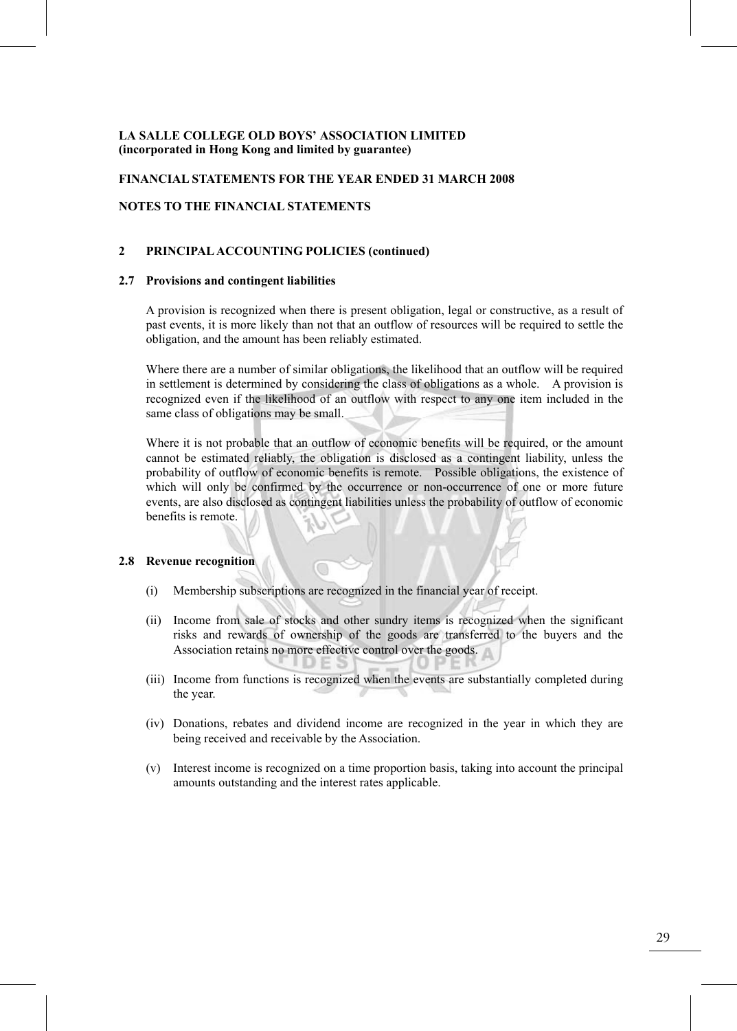#### **FINANCIAL STATEMENTS FOR THE YEAR ENDED 31 MARCH 2008**

#### **NOTES TO THE FINANCIAL STATEMENTS**

#### **2 PRINCIPAL ACCOUNTING POLICIES (continued)**!

#### **2.7 Provisions and contingent liabilities**

A provision is recognized when there is present obligation, legal or constructive, as a result of past events, it is more likely than not that an outflow of resources will be required to settle the obligation, and the amount has been reliably estimated.

Where there are a number of similar obligations, the likelihood that an outflow will be required in settlement is determined by considering the class of obligations as a whole. A provision is recognized even if the likelihood of an outflow with respect to any one item included in the same class of obligations may be small.

Where it is not probable that an outflow of economic benefits will be required, or the amount cannot be estimated reliably, the obligation is disclosed as a contingent liability, unless the probability of outflow of economic benefits is remote. Possible obligations, the existence of which will only be confirmed by the occurrence or non-occurrence of one or more future events, are also disclosed as contingent liabilities unless the probability of outflow of economic benefits is remote.

#### **2.8 Revenue recognition**

- (i) Membership subscriptions are recognized in the financial year of receipt.
- (ii) Income from sale of stocks and other sundry items is recognized when the significant risks and rewards of ownership of the goods are transferred to the buyers and the Association retains no more effective control over the goods.
- (iii) Income from functions is recognized when the events are substantially completed during the year.
- (iv) Donations, rebates and dividend income are recognized in the year in which they are being received and receivable by the Association.
- (v) Interest income is recognized on a time proportion basis, taking into account the principal amounts outstanding and the interest rates applicable.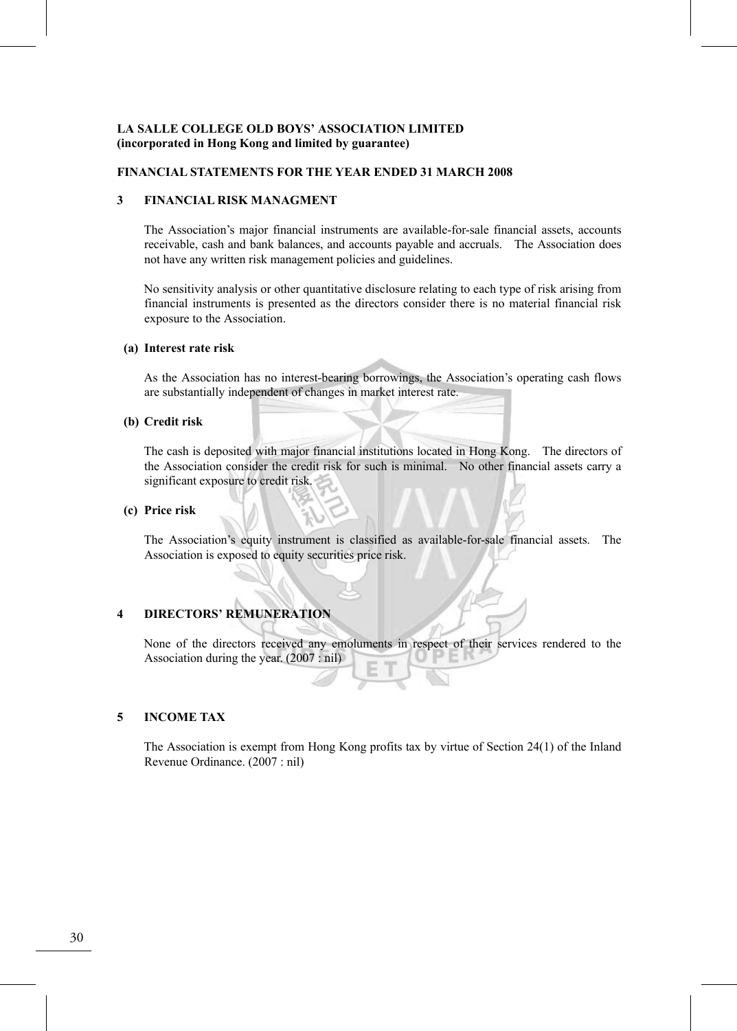#### **FINANCIAL STATEMENTS FOR THE YEAR ENDED 31 MARCH 2008**

#### **3 FINANCIAL RISK MANAGMENT**

The Association's major financial instruments are available-for-sale financial assets, accounts receivable, cash and bank balances, and accounts payable and accruals. The Association does not have any written risk management policies and guidelines.

No sensitivity analysis or other quantitative disclosure relating to each type of risk arising from financial instruments is presented as the directors consider there is no material financial risk exposure to the Association.

#### **(a) Interest rate risk**

As the Association has no interest-bearing borrowings, the Association's operating cash flows are substantially independent of changes in market interest rate.

#### **(b) Credit risk**

The cash is deposited with major financial institutions located in Hong Kong. The directors of the Association consider the credit risk for such is minimal. No other financial assets carry a significant exposure to credit risk.

#### **(c) Price risk**

The Association's equity instrument is classified as available-for-sale financial assets. The Association is exposed to equity securities price risk.

# **4 DIRECTORS' REMUNERATION**

None of the directors received any emoluments in respect of their services rendered to the Association during the year. (2007 : nil)

#### **5 INCOME TAX**

The Association is exempt from Hong Kong profits tax by virtue of Section 24(1) of the Inland Revenue Ordinance. (2007 : nil)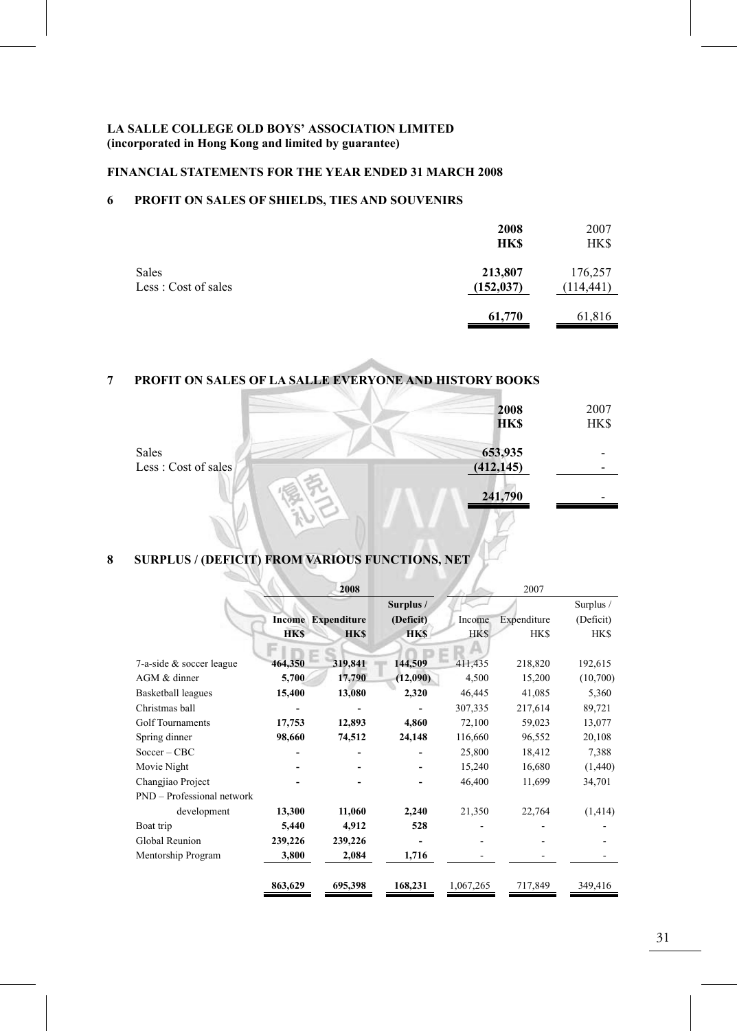# **FINANCIAL STATEMENTS FOR THE YEAR ENDED 31 MARCH 2008**

# **6 PROFIT ON SALES OF SHIELDS, TIES AND SOUVENIRS**

|                              | 2008<br><b>HKS</b>    | 2007<br>HK\$          |
|------------------------------|-----------------------|-----------------------|
| Sales<br>Less: Cost of sales | 213,807<br>(152, 037) | 176,257<br>(114, 441) |
|                              | 61,770                | 61,816                |

# **7 PROFIT ON SALES OF LA SALLE EVERYONE AND HISTORY BOOKS**

|                      | 2008        | 2007 |
|----------------------|-------------|------|
|                      | <b>HK\$</b> | HK\$ |
| Sales                | 653,935     |      |
| Less : Cost of sales | (412, 145)  |      |
|                      | 241,790     |      |
|                      |             |      |

# **8 SURPLUS / (DEFICIT) FROM VARIOUS FUNCTIONS, NET**

|                               |            | 2008                      |            |            | 2007        |             |
|-------------------------------|------------|---------------------------|------------|------------|-------------|-------------|
|                               |            |                           | Surplus /  |            |             | Surplus /   |
|                               |            | <b>Income Expenditure</b> | (Deficit)  | Income     | Expenditure | (Deficit)   |
|                               | <b>HKS</b> | <b>HKS</b>                | <b>HKS</b> | <b>HKS</b> | <b>HK\$</b> | <b>HK\$</b> |
| $7$ -a-side $&$ soccer league | 464,350    | 319,841                   | 144,509    | 411,435    | 218,820     | 192,615     |
| AGM & dinner                  | 5,700      | 17,790                    | (12,090)   | 4,500      | 15,200      | (10,700)    |
| <b>Basketball leagues</b>     | 15,400     | 13,080                    | 2,320      | 46,445     | 41,085      | 5,360       |
| Christmas ball                |            |                           |            | 307,335    | 217,614     | 89,721      |
| Golf Tournaments              | 17,753     | 12,893                    | 4,860      | 72,100     | 59,023      | 13,077      |
| Spring dinner                 | 98,660     | 74,512                    | 24,148     | 116,660    | 96,552      | 20,108      |
| $Soccer - CBC$                |            |                           |            | 25,800     | 18,412      | 7,388       |
| Movie Night                   |            |                           |            | 15,240     | 16,680      | (1,440)     |
| Changjiao Project             |            |                           |            | 46,400     | 11,699      | 34,701      |
| PND - Professional network    |            |                           |            |            |             |             |
| development                   | 13,300     | 11,060                    | 2,240      | 21,350     | 22,764      | (1, 414)    |
| Boat trip                     | 5,440      | 4,912                     | 528        |            |             |             |
| Global Reunion                | 239,226    | 239,226                   |            |            |             |             |
| Mentorship Program            | 3,800      | 2,084                     | 1,716      |            |             |             |
|                               | 863,629    | 695,398                   | 168,231    | 1,067,265  | 717,849     | 349,416     |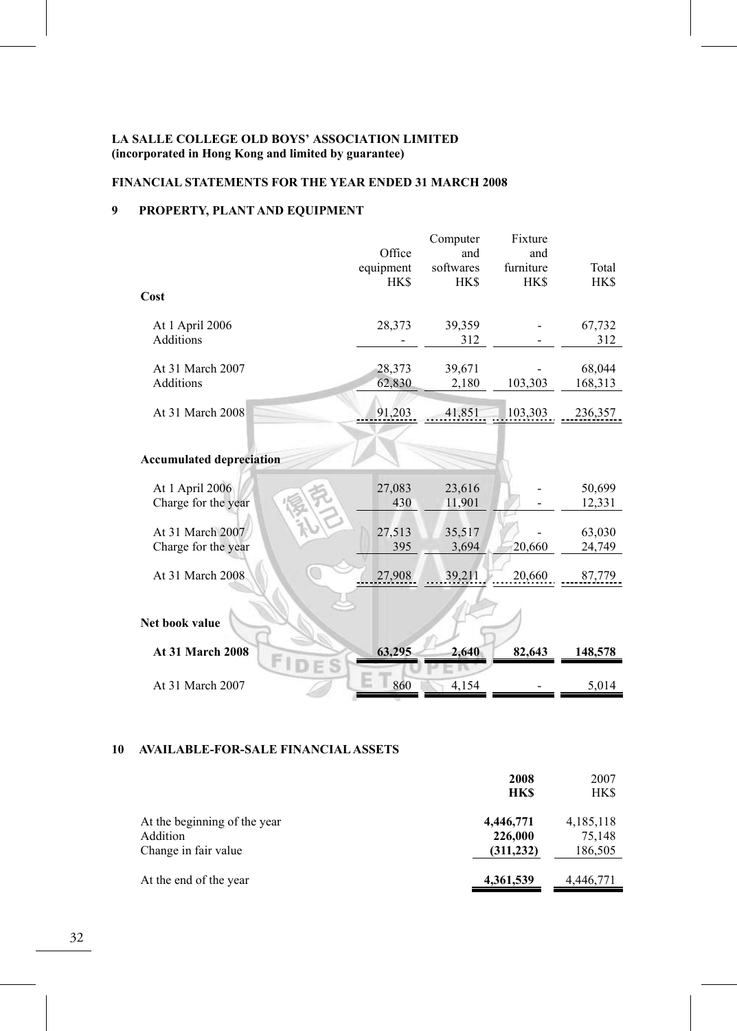# **FINANCIAL STATEMENTS FOR THE YEAR ENDED 31 MARCH 2008**

# **9 PROPERTY, PLANT AND EQUIPMENT**

|                                         | Office<br>equipment<br><b>HK\$</b> | Computer<br>and<br>softwares<br>HK\$ | Fixture<br>and<br>furniture<br>HK\$ | Total<br>HK\$     |
|-----------------------------------------|------------------------------------|--------------------------------------|-------------------------------------|-------------------|
| Cost                                    |                                    |                                      |                                     |                   |
| At 1 April 2006<br><b>Additions</b>     | 28,373                             | 39,359<br>312                        |                                     | 67,732<br>312     |
| At 31 March 2007<br>Additions           | 28,373<br>62,830                   | 39,671<br>2,180                      | 103,303                             | 68,044<br>168,313 |
| At 31 March 2008                        | 91,203                             | 41,851                               | 103,303                             | 236,357           |
| <b>Accumulated depreciation</b>         |                                    |                                      |                                     |                   |
| At 1 April 2006<br>Charge for the year  | 27,083<br>430                      | 23,616<br>11,901                     |                                     | 50,699<br>12,331  |
| At 31 March 2007<br>Charge for the year | 27,513<br>395                      | 35,517<br>3,694                      | 20,660                              | 63,030<br>24,749  |
| At 31 March 2008                        | 27,908                             | 39,211                               | 20,660                              | 87,779            |
| Net book value                          |                                    |                                      |                                     |                   |
| At 31 March 2008<br>3                   | 63,295                             | 2,640                                | 82,643                              | 148,578           |
| At 31 March 2007                        | 860                                | 4,154                                |                                     | 5,014             |

#### **10 AVAILABLE-FOR-SALE FINANCIAL ASSETS**

|                                                                  | 2008<br><b>HKS</b>                 | 2007<br>HK\$                   |
|------------------------------------------------------------------|------------------------------------|--------------------------------|
| At the beginning of the year<br>Addition<br>Change in fair value | 4,446,771<br>226,000<br>(311, 232) | 4,185,118<br>75,148<br>186,505 |
| At the end of the year                                           | 4,361,539                          | 4,446,771                      |

32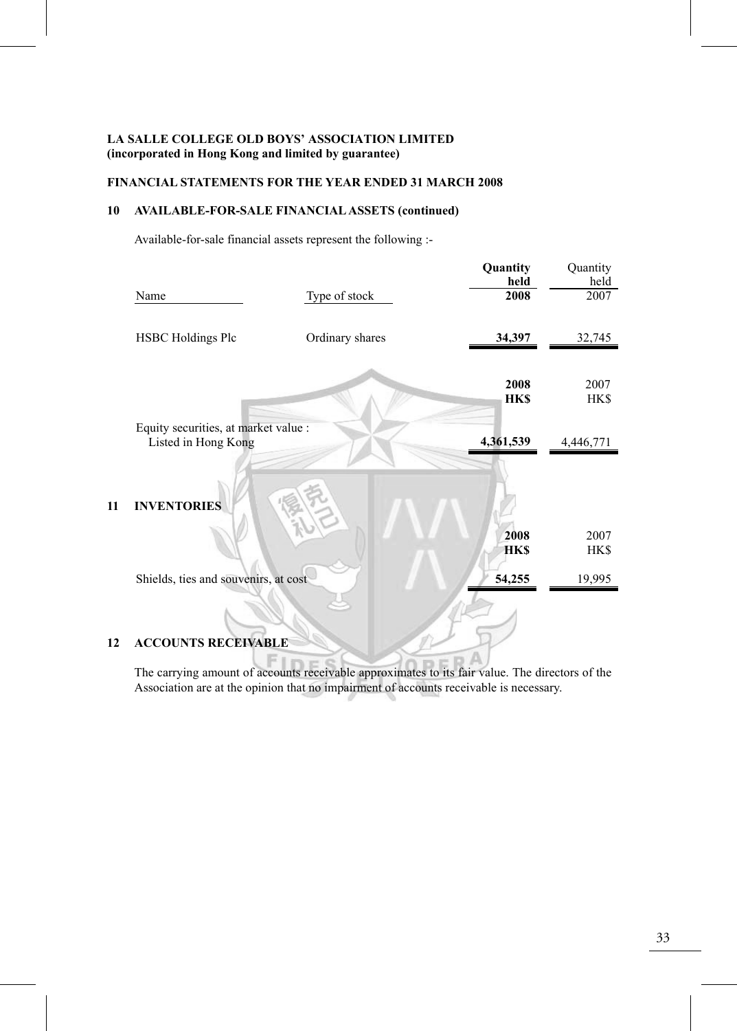# **FINANCIAL STATEMENTS FOR THE YEAR ENDED 31 MARCH 2008**

# **10 AVAILABLE-FOR-SALE FINANCIAL ASSETS (continued)**

Available-for-sale financial assets represent the following :-

Fı

|    | Name                                                        | Type of stock   | Quantity<br>held<br>2008 | Quantity<br>held<br>2007 |
|----|-------------------------------------------------------------|-----------------|--------------------------|--------------------------|
|    | <b>HSBC Holdings Plc</b>                                    | Ordinary shares | 34,397                   | 32,745                   |
|    |                                                             |                 | 2008<br><b>HKS</b>       | 2007<br>HK\$             |
|    | Equity securities, at market value :<br>Listed in Hong Kong |                 | 4,361,539                | 4,446,771                |
| 11 | <b>INVENTORIES</b>                                          |                 | 2008<br><b>HKS</b>       | 2007<br>HK\$             |
|    | Shields, ties and souvenirs, at cost                        |                 | 54,255                   | 19,995                   |
| 12 | <b>ACCOUNTS RECEIVABLE</b>                                  |                 |                          |                          |

The carrying amount of accounts receivable approximates to its fair value. The directors of the Association are at the opinion that no impairment of accounts receivable is necessary.

**DA**